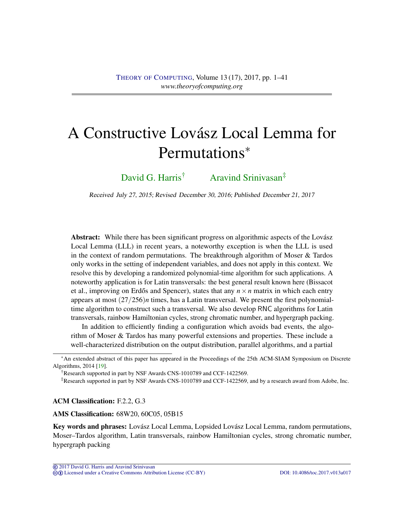# <span id="page-0-0"></span>A Constructive Lovász Local Lemma for Permutations<sup>∗</sup>

[David G. Harris](#page-39-0)<sup>†</sup> [Aravind Srinivasan](#page-40-0)<sup>‡</sup>

Received July 27, 2015; Revised December 30, 2016; Published December 21, 2017

Abstract: While there has been significant progress on algorithmic aspects of the Lovász Local Lemma (LLL) in recent years, a noteworthy exception is when the LLL is used in the context of random permutations. The breakthrough algorithm of Moser & Tardos only works in the setting of independent variables, and does not apply in this context. We resolve this by developing a randomized polynomial-time algorithm for such applications. A noteworthy application is for Latin transversals: the best general result known here (Bissacot et al., improving on Erdős and Spencer), states that any  $n \times n$  matrix in which each entry appears at most (27/256)*n* times, has a Latin transversal. We present the first polynomialtime algorithm to construct such a transversal. We also develop RNC algorithms for Latin transversals, rainbow Hamiltonian cycles, strong chromatic number, and hypergraph packing.

In addition to efficiently finding a configuration which avoids bad events, the algorithm of Moser & Tardos has many powerful extensions and properties. These include a well-characterized distribution on the output distribution, parallel algorithms, and a partial

†Research supported in part by NSF Awards CNS-1010789 and CCF-1422569.

‡Research supported in part by NSF Awards CNS-1010789 and CCF-1422569, and by a research award from Adobe, Inc.

ACM Classification: F.2.2, G.3

AMS Classification: 68W20, 60C05, 05B15

Key words and phrases: Lovász Local Lemma, Lopsided Lovász Local Lemma, random permutations, Moser–Tardos algorithm, Latin transversals, rainbow Hamiltonian cycles, strong chromatic number, hypergraph packing

<sup>∗</sup>An extended abstract of this paper has appeared in the Proceedings of the 25th ACM-SIAM Symposium on Discrete Algorithms, 2014 [\[19\]](#page-38-0).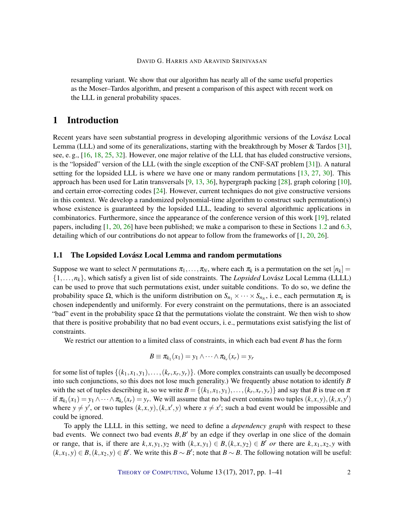<span id="page-1-0"></span>resampling variant. We show that our algorithm has nearly all of the same useful properties as the Moser–Tardos algorithm, and present a comparison of this aspect with recent work on the LLL in general probability spaces.

## 1 Introduction

Recent years have seen substantial progress in developing algorithmic versions of the Lovász Local Lemma (LLL) and some of its generalizations, starting with the breakthrough by Moser & Tardos [\[31\]](#page-39-1), see, e. g., [\[16,](#page-38-1) [18,](#page-38-2) [25,](#page-38-3) [32\]](#page-39-2). However, one major relative of the LLL that has eluded constructive versions, is the "lopsided" version of the LLL (with the single exception of the CNF-SAT problem [\[31\]](#page-39-1)). A natural setting for the lopsided LLL is where we have one or many random permutations [\[13,](#page-37-0) [27,](#page-39-3) [30\]](#page-39-4). This approach has been used for Latin transversals [\[9,](#page-37-1) [13,](#page-37-0) [36\]](#page-39-5), hypergraph packing [\[28\]](#page-39-6), graph coloring [\[10\]](#page-37-2), and certain error-correcting codes [\[24\]](#page-38-4). However, current techniques do not give constructive versions in this context. We develop a randomized polynomial-time algorithm to construct such permutation(s) whose existence is guaranteed by the lopsided LLL, leading to several algorithmic applications in combinatorics. Furthermore, since the appearance of the conference version of this work [\[19\]](#page-38-0), related papers, including [\[1,](#page-37-3) [20,](#page-38-5) [26\]](#page-38-6) have been published; we make a comparison to these in Sections [1.2](#page-3-0) and [6.3,](#page-19-0) detailing which of our contributions do not appear to follow from the frameworks of [\[1,](#page-37-3) [20,](#page-38-5) [26\]](#page-38-6).

#### 1.1 The Lopsided Lovász Local Lemma and random permutations

Suppose we want to select N permutations  $\pi_1, \ldots, \pi_N$ , where each  $\pi_k$  is a permutation on the set  $[n_k]$ {1,...,*nk*}, which satisfy a given list of side constraints. The *Lopsided* Lovász Local Lemma (LLLL) can be used to prove that such permutations exist, under suitable conditions. To do so, we define the probability space  $\Omega$ , which is the uniform distribution on  $S_{n_1} \times \cdots \times S_{n_N}$ , i.e., each permutation  $\pi_k$  is chosen independently and uniformly. For every constraint on the permutations, there is an associated "bad" event in the probability space  $\Omega$  that the permutations violate the constraint. We then wish to show that there is positive probability that no bad event occurs, i. e., permutations exist satisfying the list of constraints.

We restrict our attention to a limited class of constraints, in which each bad event *B* has the form

$$
B \equiv \pi_{k_1}(x_1) = y_1 \wedge \cdots \wedge \pi_{k_r}(x_r) = y_r
$$

for some list of tuples  $\{(k_1, x_1, y_1), \ldots, (k_r, x_r, y_r)\}$ . (More complex constraints can usually be decomposed into such conjunctions, so this does not lose much generality.) We frequently abuse notation to identify *B* with the set of tuples describing it, so we write  $B = \{(k_1, x_1, y_1), \ldots, (k_r, x_r, y_r)\}$  and say that *B* is true on  $\pi$ if  $\pi_{k_1}(x_1) = y_1 \wedge \cdots \wedge \pi_{k_r}(x_r) = y_r$ . We will assume that no bad event contains two tuples  $(k, x, y)$ ,  $(k, x, y')$ where  $y \neq y'$ , or two tuples  $(k, x, y)$ ,  $(k, x', y)$  where  $x \neq x'$ ; such a bad event would be impossible and could be ignored.

To apply the LLLL in this setting, we need to define a *dependency graph* with respect to these bad events. We connect two bad events  $B$ ,  $B'$  by an edge if they overlap in one slice of the domain or range, that is, if there are  $k, x, y_1, y_2$  with  $(k, x, y_1) \in B, (k, x, y_2) \in B'$  or there are  $k, x_1, x_2, y$  with  $(k, x_1, y) \in B$ ,  $(k, x_2, y) \in B'$ . We write this  $B \sim B'$ ; note that  $B \sim B$ . The following notation will be useful: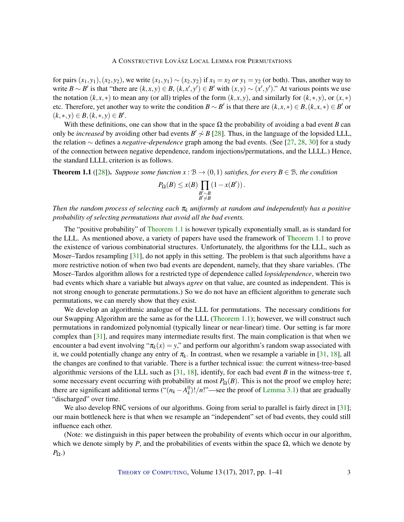<span id="page-2-1"></span>for pairs  $(x_1, y_1)$ ,  $(x_2, y_2)$ , we write  $(x_1, y_1) \sim (x_2, y_2)$  if  $x_1 = x_2$  *or*  $y_1 = y_2$  (or both). Thus, another way to write  $B \sim B'$  is that "there are  $(k, x, y) \in B$ ,  $(k, x', y') \in B'$  with  $(x, y) \sim (x', y')$ ." At various points we use the notation  $(k, x, *)$  to mean any (or all) triples of the form  $(k, x, y)$ , and similarly for  $(k, *, y)$ , or  $(x, *)$ etc. Therefore, yet another way to write the condition  $B \sim B'$  is that there are  $(k, x, *) \in B$ ,  $(k, x, *) \in B'$  or  $(k,*,y) \in B, (k,*,y) \in B'.$ 

With these definitions, one can show that in the space  $\Omega$  the probability of avoiding a bad event *B* can only be *increased* by avoiding other bad events  $B' \sim B$  [\[28\]](#page-39-6). Thus, in the language of the lopsided LLL, the relation ∼ defines a *negative-dependence* graph among the bad events. (See [\[27,](#page-39-3) [28,](#page-39-6) [30\]](#page-39-4) for a study of the connection between negative dependence, random injections/permutations, and the LLLL.) Hence, the standard LLLL criterion is as follows.

<span id="page-2-0"></span>**Theorem 1.1** ([\[28\]](#page-39-6)). *Suppose some function x* :  $B \rightarrow (0,1)$  *satisfies, for every*  $B \in B$ *, the condition* 

$$
P_{\Omega}(B) \le x(B) \prod_{\substack{B' \sim B \\ B' \neq B}} (1 - x(B')).
$$

*Then the random process of selecting each* π*<sup>k</sup> uniformly at random and independently has a positive probability of selecting permutations that avoid all the bad events.*

The "positive probability" of [Theorem](#page-2-0) [1.1](#page-2-0) is however typically exponentially small, as is standard for the LLL. As mentioned above, a variety of papers have used the framework of [Theorem](#page-2-0) [1.1](#page-2-0) to prove the existence of various combinatorial structures. Unfortunately, the algorithms for the LLL, such as Moser–Tardos resampling [\[31\]](#page-39-1), do not apply in this setting. The problem is that such algorithms have a more restrictive notion of when two bad events are dependent, namely, that they share variables. (The Moser–Tardos algorithm allows for a restricted type of dependence called *lopsidependence*, wherein two bad events which share a variable but always *agree* on that value, are counted as independent. This is not strong enough to generate permutations.) So we do not have an efficient algorithm to generate such permutations, we can merely show that they exist.

We develop an algorithmic analogue of the LLL for permutations. The necessary conditions for our Swapping Algorithm are the same as for the LLL [\(Theorem](#page-2-0) [1.1\)](#page-2-0); however, we will construct such permutations in randomized polynomial (typically linear or near-linear) time. Our setting is far more complex than [\[31\]](#page-39-1), and requires many intermediate results first. The main complication is that when we encounter a bad event involving " $\pi_k(x) = y$ ," and perform our algorithm's random swap associated with it, we could potentially change any entry of  $\pi_k$ . In contrast, when we resample a variable in [\[31,](#page-39-1) [18\]](#page-38-2), all the changes are confined to that variable. There is a further technical issue: the current witness-tree-based algorithmic versions of the LLL such as [\[31,](#page-39-1) [18\]](#page-38-2), identify, for each bad event *B* in the witness-tree  $\tau$ , some necessary event occurring with probability at most  $P_{\Omega}(B)$ . This is not the proof we employ here; there are significant additional terms (" $(n_k - A_k^0)!/n!$ "—see the proof of [Lemma](#page-6-0) [3.1\)](#page-6-0) that are gradually "discharged" over time.

We also develop RNC versions of our algorithms. Going from serial to parallel is fairly direct in [\[31\]](#page-39-1); our main bottleneck here is that when we resample an "independent" set of bad events, they could still influence each other.

(Note: we distinguish in this paper between the probability of events which occur in our algorithm, which we denote simply by *P*, and the probabilities of events within the space  $\Omega$ , which we denote by *P*Ω.)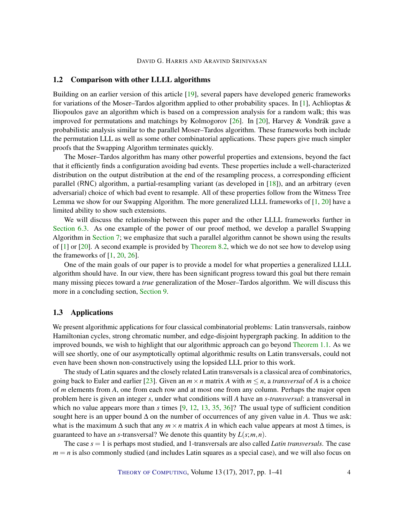#### <span id="page-3-1"></span><span id="page-3-0"></span>1.2 Comparison with other LLLL algorithms

Building on an earlier version of this article [\[19\]](#page-38-0), several papers have developed generic frameworks for variations of the Moser–Tardos algorithm applied to other probability spaces. In [\[1\]](#page-37-3), Achlioptas  $\&$ Iliopoulos gave an algorithm which is based on a compression analysis for a random walk; this was improved for permutations and matchings by Kolmogorov [\[26\]](#page-38-6). In [\[20\]](#page-38-5), Harvey & Vondrák gave a probabilistic analysis similar to the parallel Moser–Tardos algorithm. These frameworks both include the permutation LLL as well as some other combinatorial applications. These papers give much simpler proofs that the Swapping Algorithm terminates quickly.

The Moser–Tardos algorithm has many other powerful properties and extensions, beyond the fact that it efficiently finds a configuration avoiding bad events. These properties include a well-characterized distribution on the output distribution at the end of the resampling process, a corresponding efficient parallel (RNC) algorithm, a partial-resampling variant (as developed in [\[18\]](#page-38-2)), and an arbitrary (even adversarial) choice of which bad event to resample. All of these properties follow from the Witness Tree Lemma we show for our Swapping Algorithm. The more generalized LLLL frameworks of [\[1,](#page-37-3) [20\]](#page-38-5) have a limited ability to show such extensions.

We will discuss the relationship between this paper and the other LLLL frameworks further in [Section](#page-19-0) [6.3.](#page-19-0) As one example of the power of our proof method, we develop a parallel Swapping Algorithm in [Section](#page-21-0) [7;](#page-21-0) we emphasize that such a parallel algorithm cannot be shown using the results of [\[1\]](#page-37-3) or [\[20\]](#page-38-5). A second example is provided by [Theorem](#page-27-0) [8.2,](#page-27-0) which we do not see how to develop using the frameworks of  $[1, 20, 26]$  $[1, 20, 26]$  $[1, 20, 26]$  $[1, 20, 26]$  $[1, 20, 26]$ .

One of the main goals of our paper is to provide a model for what properties a generalized LLLL algorithm should have. In our view, there has been significant progress toward this goal but there remain many missing pieces toward a *true* generalization of the Moser–Tardos algorithm. We will discuss this more in a concluding section, [Section](#page-33-0) [9.](#page-33-0)

#### 1.3 Applications

We present algorithmic applications for four classical combinatorial problems: Latin transversals, rainbow Hamiltonian cycles, strong chromatic number, and edge-disjoint hypergraph packing. In addition to the improved bounds, we wish to highlight that our algorithmic approach can go beyond [Theorem](#page-2-0) [1.1.](#page-2-0) As we will see shortly, one of our asymptotically optimal algorithmic results on Latin transversals, could not even have been shown non-constructively using the lopsided LLL prior to this work.

The study of Latin squares and the closely related Latin transversals is a classical area of combinatorics, going back to Euler and earlier [\[23\]](#page-38-7). Given an  $m \times n$  matrix A with  $m \le n$ , a *transversal* of A is a choice of *m* elements from *A*, one from each row and at most one from any column. Perhaps the major open problem here is given an integer *s*, under what conditions will *A* have an *s-transversal*: a transversal in which no value appears more than *s* times [\[9,](#page-37-1) [12,](#page-37-4) [13,](#page-37-0) [35,](#page-39-7) [36\]](#page-39-5)? The usual type of sufficient condition sought here is an upper bound ∆ on the number of occurrences of any given value in *A*. Thus we ask: what is the maximum  $\Delta$  such that any  $m \times n$  matrix A in which each value appears at most  $\Delta$  times, is guaranteed to have an *s*-transversal? We denote this quantity by *L*(*s*;*m*,*n*).

The case *s* = 1 is perhaps most studied, and 1-transversals are also called *Latin transversals*. The case  $m = n$  is also commonly studied (and includes Latin squares as a special case), and we will also focus on

THEORY OF C[OMPUTING](http://dx.doi.org/10.4086/toc), Volume 13 (17), 2017, pp. 1–41 4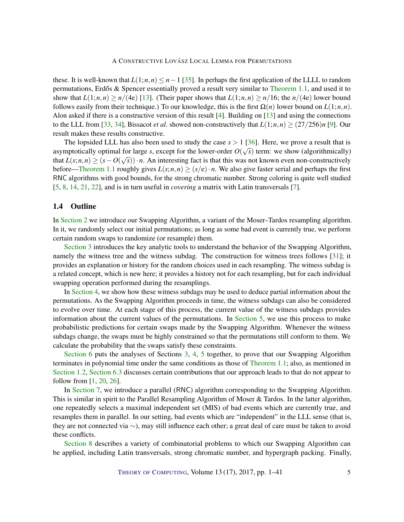<span id="page-4-0"></span>these. It is well-known that  $L(1; n, n) \leq n - 1$  [\[35\]](#page-39-7). In perhaps the first application of the LLLL to random permutations, Erdős & Spencer essentially proved a result very similar to [Theorem](#page-2-0) [1.1,](#page-2-0) and used it to show that  $L(1; n, n) \ge n/(4e)$  [\[13\]](#page-37-0). (Their paper shows that  $L(1; n, n) \ge n/16$ ; the  $n/(4e)$  lower bound follows easily from their technique.) To our knowledge, this is the first  $\Omega(n)$  lower bound on  $L(1;n,n)$ . Alon asked if there is a constructive version of this result [\[4\]](#page-37-5). Building on [\[13\]](#page-37-0) and using the connections to the LLL from [\[33,](#page-39-8) [34\]](#page-39-9), Bissacot *et al.* showed non-constructively that  $L(1;n,n) \geq (27/256)n$  [\[9\]](#page-37-1). Our result makes these results constructive.

The lopsided LLL has also been used to study the case  $s > 1$  [\[36\]](#page-39-5). Here, we prove a result that is asymptotically optimal for large *s*, except for the lower-order  $O(\sqrt{s})$  term: we show (algorithmically) that  $L(s;n,n) \ge (s - O(\sqrt{s})) \cdot n$ . An interesting fact is that this was not known even non-constructively before[—Theorem](#page-2-0) [1.1](#page-2-0) roughly gives  $L(s;n,n) \ge (s/e) \cdot n$ . We also give faster serial and perhaps the first RNC algorithms with good bounds, for the strong chromatic number. Strong coloring is quite well studied [\[5,](#page-37-6) [8,](#page-37-7) [14,](#page-38-8) [21,](#page-38-9) [22\]](#page-38-10), and is in turn useful in *covering* a matrix with Latin transversals [\[7\]](#page-37-8).

#### 1.4 Outline

In [Section](#page-5-0) [2](#page-5-0) we introduce our Swapping Algorithm, a variant of the Moser–Tardos resampling algorithm. In it, we randomly select our initial permutations; as long as some bad event is currently true, we perform certain random swaps to randomize (or resample) them.

[Section](#page-6-1) [3](#page-6-1) introduces the key analytic tools to understand the behavior of the Swapping Algorithm, namely the witness tree and the witness subdag. The construction for witness trees follows [\[31\]](#page-39-1); it provides an explanation or history for the random choices used in each resampling. The witness subdag is a related concept, which is new here; it provides a history not for each resampling, but for each individual swapping operation performed during the resamplings.

In [Section](#page-9-0) [4,](#page-9-0) we show how these witness subdags may be used to deduce partial information about the permutations. As the Swapping Algorithm proceeds in time, the witness subdags can also be considered to evolve over time. At each stage of this process, the current value of the witness subdags provides information about the current values of the permutations. In [Section](#page-14-0) [5,](#page-14-0) we use this process to make probabilistic predictions for certain swaps made by the Swapping Algorithm. Whenever the witness subdags change, the swaps must be highly constrained so that the permutations still conform to them. We calculate the probability that the swaps satisfy these constraints.

[Section](#page-18-0) [6](#page-18-0) puts the analyses of Sections [3,](#page-6-1) [4,](#page-9-0) [5](#page-14-0) together, to prove that our Swapping Algorithm terminates in polynomial time under the same conditions as those of [Theorem](#page-2-0) [1.1;](#page-2-0) also, as mentioned in [Section](#page-19-0) [1.2,](#page-3-0) Section [6.3](#page-19-0) discusses certain contributions that our approach leads to that do not appear to follow from  $[1, 20, 26]$  $[1, 20, 26]$  $[1, 20, 26]$  $[1, 20, 26]$  $[1, 20, 26]$ .

In [Section](#page-21-0) [7,](#page-21-0) we introduce a parallel (RNC) algorithm corresponding to the Swapping Algorithm. This is similar in spirit to the Parallel Resampling Algorithm of Moser & Tardos. In the latter algorithm, one repeatedly selects a maximal independent set (MIS) of bad events which are currently true, and resamples them in parallel. In our setting, bad events which are "independent" in the LLL sense (that is, they are not connected via ∼), may still influence each other; a great deal of care must be taken to avoid these conflicts.

[Section](#page-26-0) [8](#page-26-0) describes a variety of combinatorial problems to which our Swapping Algorithm can be applied, including Latin transversals, strong chromatic number, and hypergraph packing. Finally,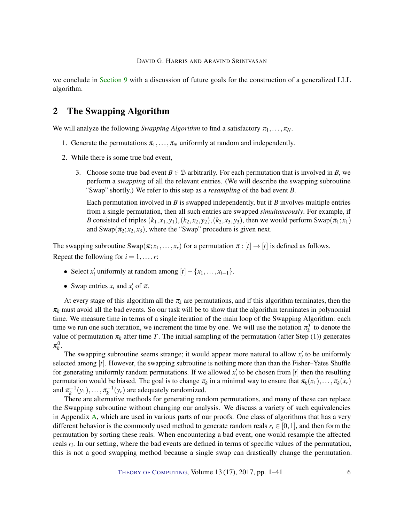we conclude in [Section](#page-33-0) [9](#page-33-0) with a discussion of future goals for the construction of a generalized LLL algorithm.

## <span id="page-5-0"></span>2 The Swapping Algorithm

We will analyze the following *Swapping Algorithm* to find a satisfactory  $\pi_1, \ldots, \pi_N$ .

- 1. Generate the permutations  $\pi_1, \ldots, \pi_N$  uniformly at random and independently.
- 2. While there is some true bad event,
	- 3. Choose some true bad event  $B \in \mathcal{B}$  arbitrarily. For each permutation that is involved in *B*, we perform a *swapping* of all the relevant entries. (We will describe the swapping subroutine "Swap" shortly.) We refer to this step as a *resampling* of the bad event *B*.

Each permutation involved in *B* is swapped independently, but if *B* involves multiple entries from a single permutation, then all such entries are swapped *simultaneously*. For example, if *B* consisted of triples  $(k_1, x_1, y_1)$ ,  $(k_2, x_2, y_2)$ ,  $(k_2, x_3, y_3)$ , then we would perform Swap( $\pi_1$ ;  $x_1$ ) and  $\text{Swap}(\pi_2; x_2, x_3)$ , where the "Swap" procedure is given next.

The swapping subroutine  $\text{Swap}(\pi; x_1, \ldots, x_r)$  for a permutation  $\pi : [t] \to [t]$  is defined as follows. Repeat the following for  $i = 1, \ldots, r$ :

- Select *x*<sup>*i*</sup> uniformly at random among  $[t] \{x_1, \ldots, x_{i-1}\}.$
- Swap entries  $x_i$  and  $x'_i$  of  $\pi$ .

At every stage of this algorithm all the  $\pi_k$  are permutations, and if this algorithm terminates, then the  $\pi_k$  must avoid all the bad events. So our task will be to show that the algorithm terminates in polynomial time. We measure time in terms of a single iteration of the main loop of the Swapping Algorithm: each time we run one such iteration, we increment the time by one. We will use the notation  $\pi_k^T$  to denote the value of permutation  $\pi_k$  after time *T*. The initial sampling of the permutation (after Step (1)) generates  $\pi_k^0$ .

The swapping subroutine seems strange; it would appear more natural to allow  $x_i'$  to be uniformly selected among [*t*]. However, the swapping subroutine is nothing more than than the Fisher–Yates Shuffle for generating uniformly random permutations. If we allowed  $x_i'$  to be chosen from [ $t$ ] then the resulting permutation would be biased. The goal is to change  $\pi_k$  in a minimal way to ensure that  $\pi_k(x_1), \ldots, \pi_k(x_r)$ and  $\pi_k^{-1}(y_1), \ldots, \pi_k^{-1}(y_r)$  are adequately randomized.

There are alternative methods for generating random permutations, and many of these can replace the Swapping subroutine without changing our analysis. We discuss a variety of such equivalencies in Appendix [A,](#page-34-0) which are used in various parts of our proofs. One class of algorithms that has a very different behavior is the commonly used method to generate random reals  $r_i \in [0,1]$ , and then form the permutation by sorting these reals. When encountering a bad event, one would resample the affected reals  $r_i$ . In our setting, where the bad events are defined in terms of specific values of the permutation, this is not a good swapping method because a single swap can drastically change the permutation.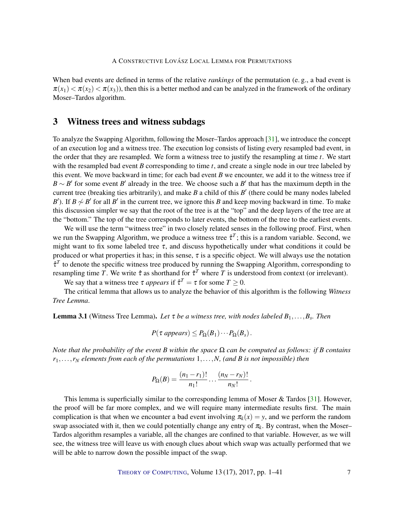<span id="page-6-2"></span>When bad events are defined in terms of the relative *rankings* of the permutation (e. g., a bad event is  $\pi(x_1) < \pi(x_2) < \pi(x_3)$ , then this is a better method and can be analyzed in the framework of the ordinary Moser–Tardos algorithm.

## <span id="page-6-1"></span>3 Witness trees and witness subdags

To analyze the Swapping Algorithm, following the Moser–Tardos approach [\[31\]](#page-39-1), we introduce the concept of an execution log and a witness tree. The execution log consists of listing every resampled bad event, in the order that they are resampled. We form a witness tree to justify the resampling at time *t*. We start with the resampled bad event *B* corresponding to time *t*, and create a single node in our tree labeled by this event. We move backward in time; for each bad event *B* we encounter, we add it to the witness tree if  $B \sim B'$  for some event *B*<sup>'</sup> already in the tree. We choose such a *B*<sup>'</sup> that has the maximum depth in the current tree (breaking ties arbitrarily), and make  $B$  a child of this  $B'$  (there could be many nodes labeled *B*<sup> $\prime$ </sup>). If *B*  $\sim$  *B*<sup> $\prime$ </sup> for all *B*<sup> $\prime$ </sup> in the current tree, we ignore this *B* and keep moving backward in time. To make this discussion simpler we say that the root of the tree is at the "top" and the deep layers of the tree are at the "bottom." The top of the tree corresponds to later events, the bottom of the tree to the earliest events.

We will use the term "witness tree" in two closely related senses in the following proof. First, when we run the Swapping Algorithm, we produce a witness tree  $\hat{\tau}^T$ ; this is a random variable. Second, we might want to fix some labeled tree  $\tau$ , and discuss hypothetically under what conditions it could be produced or what properties it has; in this sense,  $\tau$  is a specific object. We will always use the notation  $\hat{\tau}^T$  to denote the specific witness tree produced by running the Swapping Algorithm, corresponding to resampling time *T*. We write  $\hat{\tau}$  as shorthand for  $\hat{\tau}^T$  where *T* is understood from context (or irrelevant).

We say that a witness tree  $\tau$  *appears* if  $\hat{\tau}^T = \tau$  for some  $T \ge 0$ .

The critical lemma that allows us to analyze the behavior of this algorithm is the following *Witness Tree Lemma*.

<span id="page-6-0"></span>Lemma 3.1 (Witness Tree Lemma). *Let* τ *be a witness tree, with nodes labeled B*1,...,*B<sup>s</sup> . Then*

$$
P(\tau\text{ appears}) \leq P_{\Omega}(B_1) \cdots P_{\Omega}(B_s).
$$

*Note that the probability of the event B* within the space  $\Omega$  *can be computed as follows: if B contains*  $r_1, \ldots, r_N$  *elements from each of the permutations*  $1, \ldots, N$ *, (and B is not impossible) then* 

$$
P_{\Omega}(B) = \frac{(n_1 - r_1)!}{n_1!} \dots \frac{(n_N - r_N)!}{n_N!}
$$

.

This lemma is superficially similar to the corresponding lemma of Moser & Tardos [\[31\]](#page-39-1). However, the proof will be far more complex, and we will require many intermediate results first. The main complication is that when we encounter a bad event involving  $\pi_k(x) = y$ , and we perform the random swap associated with it, then we could potentially change any entry of  $\pi_k$ . By contrast, when the Moser– Tardos algorithm resamples a variable, all the changes are confined to that variable. However, as we will see, the witness tree will leave us with enough clues about which swap was actually performed that we will be able to narrow down the possible impact of the swap.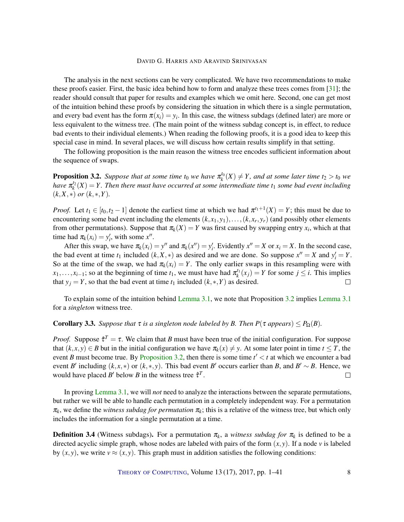<span id="page-7-1"></span>The analysis in the next sections can be very complicated. We have two recommendations to make these proofs easier. First, the basic idea behind how to form and analyze these trees comes from [\[31\]](#page-39-1); the reader should consult that paper for results and examples which we omit here. Second, one can get most of the intuition behind these proofs by considering the situation in which there is a single permutation, and every bad event has the form  $\pi(x_i) = y_i$ . In this case, the witness subdags (defined later) are more or less equivalent to the witness tree. (The main point of the witness subdag concept is, in effect, to reduce bad events to their individual elements.) When reading the following proofs, it is a good idea to keep this special case in mind. In several places, we will discuss how certain results simplify in that setting.

The following proposition is the main reason the witness tree encodes sufficient information about the sequence of swaps.

<span id="page-7-0"></span>**Proposition 3.2.** Suppose that at some time  $t_0$  we have  $\pi_k^{t_0}(X) \neq Y$ , and at some later time  $t_2 > t_0$  we *have*  $\pi_k^{t_2}(X) = Y$ . Then there must have occurred at some intermediate time  $t_1$  some bad event including  $(k, X, *)$  *or*  $(k, *, Y)$ *.* 

*Proof.* Let  $t_1 \in [t_0, t_2 - 1]$  denote the earliest time at which we had  $\pi^{t_1+1}(X) = Y$ ; this must be due to encountering some bad event including the elements  $(k, x_1, y_1), \ldots, (k, x_r, y_r)$  (and possibly other elements from other permutations). Suppose that  $\pi_k(X) = Y$  was first caused by swapping entry  $x_i$ , which at that time had  $\pi_k(x_i) = y'_i$ , with some x''.

After this swap, we have  $\pi_k(x_i) = y''$  and  $\pi_k(x'') = y'_i$ . Evidently  $x'' = X$  or  $x_i = X$ . In the second case, the bad event at time  $t_1$  included  $(k, X, *)$  as desired and we are done. So suppose  $x'' = X$  and  $y'_i = Y$ . So at the time of the swap, we had  $\pi_k(x_i) = Y$ . The only earlier swaps in this resampling were with  $x_1, \ldots, x_{i-1}$ ; so at the beginning of time  $t_1$ , we must have had  $\pi_k^{t_1}(x_j) = Y$  for some  $j \leq i$ . This implies that *y*<sup>*j*</sup> = *Y*, so that the bad event at time *t*<sub>1</sub> included (*k*, \*, *Y*) as desired.  $\Box$ 

To explain some of the intuition behind [Lemma](#page-6-0) [3.1,](#page-6-0) we note that Proposition [3.2](#page-7-0) implies [Lemma](#page-6-0) [3.1](#page-6-0) for a *singleton* witness tree.

**Corollary 3.3.** *Suppose that*  $\tau$  *is a singleton node labeled by B. Then*  $P(\tau$  *appears*)  $\leq P_{\Omega}(B)$ *.* 

*Proof.* Suppose  $\hat{\tau}^T = \tau$ . We claim that *B* must have been true of the initial configuration. For suppose that  $(k, x, y) \in B$  but in the initial configuration we have  $\pi_k(x) \neq y$ . At some later point in time  $t \leq T$ , the event *B* must become true. By [Proposition](#page-7-0) [3.2,](#page-7-0) then there is some time  $t' < t$  at which we encounter a bad event *B*<sup> $\prime$ </sup> including (*k*, *x*, \*) or (*k*, \*, *y*). This bad event *B*<sup> $\prime$ </sup> occurs earlier than *B*, and *B*<sup> $\prime$ </sup> ~ *B*. Hence, we would have placed *B*<sup> $\prime$ </sup> below *B* in the witness tree  $\hat{\tau}^T$ .  $\Box$ 

In proving [Lemma](#page-6-0) [3.1,](#page-6-0) we will *not* need to analyze the interactions between the separate permutations, but rather we will be able to handle each permutation in a completely independent way. For a permutation  $\pi_k$ , we define the *witness subdag for permutation*  $\pi_k$ ; this is a relative of the witness tree, but which only includes the information for a single permutation at a time.

**Definition 3.4** (Witness subdags). For a permutation  $\pi_k$ , a *witness subdag for*  $\pi_k$  is defined to be a directed acyclic simple graph, whose nodes are labeled with pairs of the form  $(x, y)$ . If a node  $v$  is labeled by  $(x, y)$ , we write  $v \approx (x, y)$ . This graph must in addition satisfies the following conditions: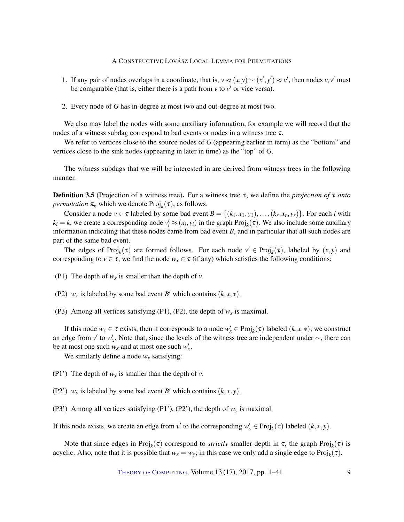- 1. If any pair of nodes overlaps in a coordinate, that is,  $v \approx (x, y) \sim (x', y') \approx v'$ , then nodes  $v, v'$  must be comparable (that is, either there is a path from  $v$  to  $v'$  or vice versa).
- 2. Every node of *G* has in-degree at most two and out-degree at most two.

We also may label the nodes with some auxiliary information, for example we will record that the nodes of a witness subdag correspond to bad events or nodes in a witness tree  $\tau$ .

We refer to vertices close to the source nodes of *G* (appearing earlier in term) as the "bottom" and vertices close to the sink nodes (appearing in later in time) as the "top" of *G*.

The witness subdags that we will be interested in are derived from witness trees in the following manner.

Definition 3.5 (Projection of a witness tree). For a witness tree τ, we define the *projection of* τ *onto permutation*  $\pi_k$  which we denote  $\text{Proj}_k(\tau)$ , as follows.

Consider a node  $v \in \tau$  labeled by some bad event  $B = \{(k_1, x_1, y_1), \ldots, (k_r, x_r, y_r)\}$ . For each *i* with  $k_i = k$ , we create a corresponding node  $v'_i \approx (x_i, y_i)$  in the graph Proj<sub>k</sub>( $\tau$ ). We also include some auxiliary information indicating that these nodes came from bad event *B*, and in particular that all such nodes are part of the same bad event.

The edges of  $\text{Proj}_k(\tau)$  are formed follows. For each node  $v' \in \text{Proj}_k(\tau)$ , labeled by  $(x, y)$  and corresponding to  $v \in \tau$ , we find the node  $w_x \in \tau$  (if any) which satisfies the following conditions:

- (P1) The depth of  $w_x$  is smaller than the depth of *v*.
- (P2)  $w_x$  is labeled by some bad event *B'* which contains  $(k, x, *)$ .
- (P3) Among all vertices satisfying (P1), (P2), the depth of  $w_x$  is maximal.

If this node  $w_x \in \tau$  exists, then it corresponds to a node  $w'_x \in Proj_k(\tau)$  labeled  $(k, x, *)$ ; we construct an edge from *v'* to *w'*<sub>x</sub>. Note that, since the levels of the witness tree are independent under  $\sim$ , there can be at most one such  $w_x$  and at most one such  $w'_x$ .

We similarly define a node  $w<sub>y</sub>$  satisfying:

- (P1') The depth of  $w<sub>v</sub>$  is smaller than the depth of  $v$ .
- (P2') *w<sub>y</sub>* is labeled by some bad event *B'* which contains  $(k, *, y)$ .
- (P3') Among all vertices satisfying (P1'), (P2'), the depth of *w<sup>y</sup>* is maximal.

If this node exists, we create an edge from *v*<sup> $\prime$ </sup> to the corresponding  $w_y \in Proj_k(\tau)$  labeled  $(k, *, y)$ .

Note that since edges in Proj<sub>k</sub>( $\tau$ ) correspond to *strictly* smaller depth in  $\tau$ , the graph Proj<sub>k</sub>( $\tau$ ) is acyclic. Also, note that it is possible that  $w_x = w_y$ ; in this case we only add a single edge to Proj<sub>k</sub> $(\tau)$ .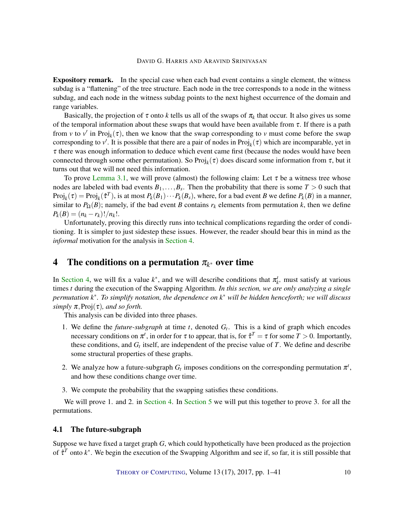Expository remark. In the special case when each bad event contains a single element, the witness subdag is a "flattening" of the tree structure. Each node in the tree corresponds to a node in the witness subdag, and each node in the witness subdag points to the next highest occurrence of the domain and range variables.

Basically, the projection of  $\tau$  onto k tells us all of the swaps of  $\pi_k$  that occur. It also gives us some of the temporal information about these swaps that would have been available from  $\tau$ . If there is a path from *v* to *v'* in Proj<sub>k</sub>( $\tau$ ), then we know that the swap corresponding to *v* must come before the swap corresponding to  $v'$ . It is possible that there are a pair of nodes in  $Proj_k(\tau)$  which are incomparable, yet in  $\tau$  there was enough information to deduce which event came first (because the nodes would have been connected through some other permutation). So  $Proj_k(\tau)$  does discard some information from  $\tau$ , but it turns out that we will not need this information.

To prove [Lemma](#page-6-0) [3.1,](#page-6-0) we will prove (almost) the following claim: Let  $\tau$  be a witness tree whose nodes are labeled with bad events  $B_1, \ldots, B_s$ . Then the probability that there is some  $T > 0$  such that  $Proj_k(\tau) = Proj_k(\hat{\tau}^T)$ , is at most  $P_k(B_1) \cdots P_k(B_s)$ , where, for a bad event *B* we define  $P_k(B)$  in a manner, similar to  $P_{\Omega}(B)$ ; namely, if the bad event *B* contains  $r_k$  elements from permutation *k*, then we define  $P_k(B) = (n_k - r_k)! / n_k!$ .

Unfortunately, proving this directly runs into technical complications regarding the order of conditioning. It is simpler to just sidestep these issues. However, the reader should bear this in mind as the *informal* motivation for the analysis in [Section](#page-9-0) [4.](#page-9-0)

## <span id="page-9-0"></span>**4** The conditions on a permutation  $\pi_{k^*}$  over time

In [Section](#page-9-0) [4,](#page-9-0) we will fix a value  $k^*$ , and we will describe conditions that  $\pi^t_{k^*}$  must satisfy at various times *t* during the execution of the Swapping Algorithm. *In this section, we are only analyzing a single permutation k* ∗ *. To simplify notation, the dependence on k* <sup>∗</sup> *will be hidden henceforth; we will discuss simply*  $\pi$ ,  $Proj(\tau)$ *, and so forth.* 

This analysis can be divided into three phases.

- 1. We define the *future-subgraph* at time  $t$ , denoted  $G_t$ . This is a kind of graph which encodes necessary conditions on  $\pi^t$ , in order for  $\tau$  to appear, that is, for  $\hat{\tau}^T = \tau$  for some  $T > 0$ . Importantly, these conditions, and  $G_t$  itself, are independent of the precise value of  $T$ . We define and describe some structural properties of these graphs.
- 2. We analyze how a future-subgraph  $G_t$  imposes conditions on the corresponding permutation  $\pi^t$ , and how these conditions change over time.
- 3. We compute the probability that the swapping satisfies these conditions.

We will prove 1. and 2. in [Section](#page-14-0) [4.](#page-9-0) In Section [5](#page-14-0) we will put this together to prove 3. for all the permutations.

#### 4.1 The future-subgraph

Suppose we have fixed a target graph *G*, which could hypothetically have been produced as the projection of  $\hat{\tau}^T$  onto  $k^*$ . We begin the execution of the Swapping Algorithm and see if, so far, it is still possible that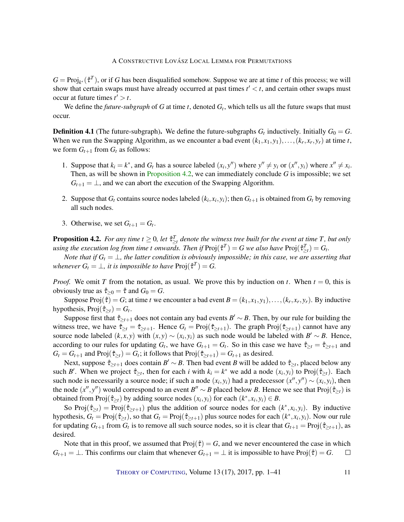$G = \text{Proj}_{k^*}(\hat{\tau}^T)$ , or if *G* has been disqualified somehow. Suppose we are at time *t* of this process; we will show that certain swaps must have already occurred at past times  $t' < t$ , and certain other swaps must occur at future times  $t' > t$ .

We define the *future-subgraph* of *G* at time *t*, denoted *G<sup>t</sup>* , which tells us all the future swaps that must occur.

**Definition 4.1** (The future-subgraph). We define the future-subgraphs  $G_t$  inductively. Initially  $G_0 = G$ . When we run the Swapping Algorithm, as we encounter a bad event  $(k_1, x_1, y_1), \ldots, (k_r, x_r, y_r)$  at time *t*, we form  $G_{t+1}$  from  $G_t$  as follows:

- 1. Suppose that  $k_i = k^*$ , and  $G_t$  has a source labeled  $(x_i, y'')$  where  $y'' \neq y_i$  or  $(x'', y_i)$  where  $x'' \neq x_i$ . Then, as will be shown in [Proposition](#page-10-0) [4.2,](#page-10-0) we can immediately conclude *G* is impossible; we set  $G_{t+1} = \perp$ , and we can abort the execution of the Swapping Algorithm.
- 2. Suppose that  $G_t$  contains source nodes labeled  $(k_i, x_i, y_i)$ ; then  $G_{t+1}$  is obtained from  $G_t$  by removing all such nodes.
- 3. Otherwise, we set  $G_{t+1} = G_t$ .

<span id="page-10-0"></span>**Proposition 4.2.** For any time  $t \geq 0$ , let  $\hat{\tau}_{\geq t}^T$  denote the witness tree built for the event at time T, but only  $u$ sing the execution log from time t onwards. Then if  $\text{Proj}(\hat{\tau}^T) = G$  we also have  $\text{Proj}(\hat{\tau}^T_{\geq t}) = G_t$ .

*Note that if*  $G_t = \perp$ *, the latter condition is obviously impossible; in this case, we are asserting that whenever*  $G_t = \bot$ , *it is impossible to have*  $\text{Proj}(\hat{\tau}^T) = G$ .

*Proof.* We omit *T* from the notation, as usual. We prove this by induction on *t*. When  $t = 0$ , this is obviously true as  $\hat{\tau}_{\geq 0} = \hat{\tau}$  and  $G_0 = G$ .

Suppose Proj $(\hat{\tau}) = G$ ; at time *t* we encounter a bad event  $B = (k_1, x_1, y_1), \ldots, (k_r, x_r, y_r)$ . By inductive hypothesis,  $Proj(\hat{\tau}_{\geq t}) = G_t$ .

Suppose first that  $\hat{\tau}_{\geq t+1}$  does not contain any bad events  $B' \sim B$ . Then, by our rule for building the witness tree, we have  $\hat{\tau}_{\geq t} = \hat{\tau}_{\geq t+1}$ . Hence  $G_t = \text{Proj}(\hat{\tau}_{\geq t+1})$ . The graph  $\text{Proj}(\hat{\tau}_{\geq t+1})$  cannot have any source node labeled  $(k, x, y)$  with  $(x, y) \sim (x_i, y_i)$  as such node would be labeled with  $B' \sim B$ . Hence, according to our rules for updating  $G_t$ , we have  $G_{t+1} = G_t$ . So in this case we have  $\hat{\tau}_{\geq t} = \hat{\tau}_{\geq t+1}$  and  $G_t = G_{t+1}$  and Proj $(\hat{\tau}_{\geq t}) = G_t$ ; it follows that Proj $(\hat{\tau}_{\geq t+1}) = G_{t+1}$  as desired.

Next, suppose  $\hat{\tau}_{\geq t+1}$  does contain  $B' \sim B$ . Then bad event *B* will be added to  $\hat{\tau}_{\geq t}$ , placed below any such *B'*. When we project  $\hat{\tau}_{\geq t}$ , then for each *i* with  $k_i = k^*$  we add a node  $(x_i, y_i)$  to Proj $(\hat{\tau}_{\geq t})$ . Each such node is necessarily a source node; if such a node  $(x_i, y_i)$  had a predecessor  $(x'', y'') \sim (x_i, y_i)$ , then the node  $(x'', y'')$  would correspond to an event  $B'' \sim B$  placed below *B*. Hence we see that Proj $(\hat{\tau}_{\geq t})$  is obtained from  $\text{Proj}(\hat{\tau}_{\geq t})$  by adding source nodes  $(x_i, y_i)$  for each  $(k^*, x_i, y_i) \in B$ .

So Proj $(\hat{\tau}_{\geq t})$  = Proj $(\hat{\tau}_{\geq t+1})$  plus the addition of source nodes for each  $(k^*, x_i, y_i)$ . By inductive hypothesis,  $G_t = \text{Proj}(\hat{\tau}_{\geq t})$ , so that  $G_t = \text{Proj}(\hat{\tau}_{\geq t+1})$  plus source nodes for each  $(k^*, x_i, y_i)$ . Now our rule for updating  $G_{t+1}$  from  $G_t$  is to remove all such source nodes, so it is clear that  $G_{t+1} = Proj(\hat{\tau}_{\geq t+1})$ , as desired.

Note that in this proof, we assumed that  $Proj(\hat{\tau}) = G$ , and we never encountered the case in which  $G_{t+1} = \bot$ . This confirms our claim that whenever  $G_{t+1} = \bot$  it is impossible to have Proj( $\hat{\tau}$ ) = *G*.  $\Box$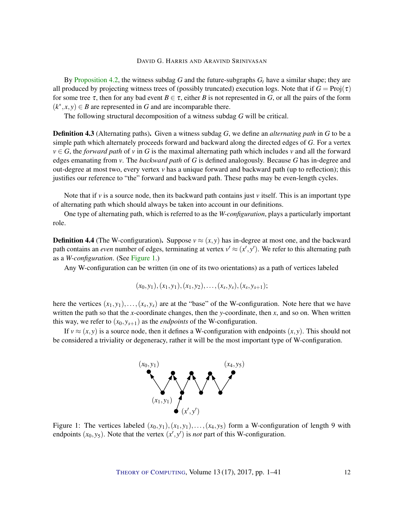By [Proposition](#page-10-0) [4.2,](#page-10-0) the witness subdag *G* and the future-subgraphs  $G_t$  have a similar shape; they are all produced by projecting witness trees of (possibly truncated) execution logs. Note that if  $G = \text{Proj}(\tau)$ for some tree  $\tau$ , then for any bad event  $B \in \tau$ , either *B* is not represented in *G*, or all the pairs of the form  $(k^*, x, y) \in B$  are represented in *G* and are incomparable there.

The following structural decomposition of a witness subdag *G* will be critical.

Definition 4.3 (Alternating paths). Given a witness subdag *G*, we define an *alternating path* in *G* to be a simple path which alternately proceeds forward and backward along the directed edges of *G*. For a vertex  $v \in G$ , the *forward path* of *v* in *G* is the maximal alternating path which includes *v* and all the forward edges emanating from *v*. The *backward path* of *G* is defined analogously. Because *G* has in-degree and out-degree at most two, every vertex *v* has a unique forward and backward path (up to reflection); this justifies our reference to "the" forward and backward path. These paths may be even-length cycles.

Note that if  $\nu$  is a source node, then its backward path contains just  $\nu$  itself. This is an important type of alternating path which should always be taken into account in our definitions.

One type of alternating path, which is referred to as the *W-configuration*, plays a particularly important role.

**Definition 4.4** (The W-configuration). Suppose  $v \approx (x, y)$  has in-degree at most one, and the backward path contains an *even* number of edges, terminating at vertex  $v' \approx (x', y')$ . We refer to this alternating path as a *W-configuration*. (See [Figure](#page-11-0) [1.](#page-11-0))

Any W-configuration can be written (in one of its two orientations) as a path of vertices labeled

$$
(x_0,y_1),(x_1,y_1),(x_1,y_2),\ldots,(x_s,y_s),(x_s,y_{s+1});
$$

here the vertices  $(x_1, y_1), \ldots, (x_s, y_s)$  are at the "base" of the W-configuration. Note here that we have written the path so that the *x*-coordinate changes, then the *y*-coordinate, then *x*, and so on. When written this way, we refer to  $(x_0, y_{s+1})$  as the *endpoints* of the W-configuration.

If  $v \approx (x, y)$  is a source node, then it defines a W-configuration with endpoints  $(x, y)$ . This should not be considered a triviality or degeneracy, rather it will be the most important type of W-configuration.



<span id="page-11-0"></span>Figure 1: The vertices labeled  $(x_0, y_1), (x_1, y_1), \ldots, (x_4, y_5)$  form a W-configuration of length 9 with endpoints  $(x_0, y_5)$ . Note that the vertex  $(x', y')$  is *not* part of this W-configuration.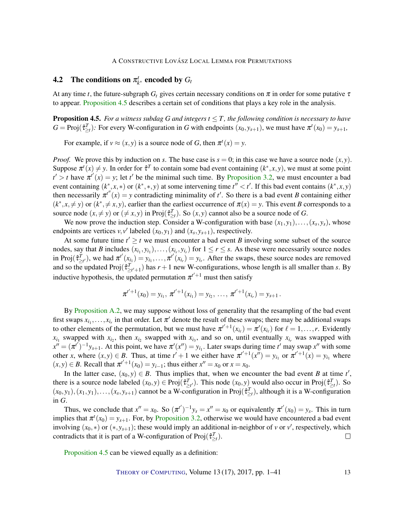#### **4.2** The conditions on  $\pi_k^t$ *k* <sup>∗</sup> encoded by *G<sup>t</sup>*

At any time *t*, the future-subgraph  $G_t$  gives certain necessary conditions on  $\pi$  in order for some putative  $\tau$ to appear. [Proposition](#page-12-0) [4.5](#page-12-0) describes a certain set of conditions that plays a key role in the analysis.

<span id="page-12-0"></span>**Proposition 4.5.** *For a witness subdag G and integers*  $t \leq T$ *, the following condition is necessary to have*  $G = \text{Proj}(\hat{\tau}_{\geq t}^T)$ : For every W-configuration in *G* with endpoints  $(x_0, y_{s+1})$ , we must have  $\pi^t(x_0) = y_{s+1}$ ,

For example, if  $v \approx (x, y)$  is a source node of *G*, then  $\pi^t(x) = y$ .

*Proof.* We prove this by induction on *s*. The base case is  $s = 0$ ; in this case we have a source node  $(x, y)$ . Suppose  $\pi^t(x) \neq y$ . In order for  $\hat{\tau}^T$  to contain some bad event containing  $(k^*, x, y)$ , we must at some point  $t' > t$  have  $\pi^{t'}(x) = y$ ; let *t*<sup> $\prime$ </sup> be the minimal such time. By [Proposition](#page-7-0) [3.2,](#page-7-0) we must encounter a bad event containing  $(k^*, x, *)$  or  $(k^*, * , y)$  at some intervening time  $t'' < t'$ . If this bad event contains  $(k^*, x, y)$ then necessarily  $\pi^{t''}(x) = y$  contradicting minimality of *t'*. So there is a bad event *B* containing either  $(k^*, x, \neq y)$  or  $(k^*, \neq x, y)$ , earlier than the earliest occurrence of  $\pi(x) = y$ . This event *B* corresponds to a source node  $(x, \neq y)$  or  $(\neq x, y)$  in Proj $(\hat{\tau}_{\geq t}^T)$ . So  $(x, y)$  cannot also be a source node of *G*.

We now prove the induction step. Consider a W-configuration with base  $(x_1, y_1), \ldots, (x_s, y_s)$ , whose endpoints are vertices  $v, v'$  labeled  $(x_0, y_1)$  and  $(x_s, y_{s+1})$ , respectively.

At some future time  $t' \geq t$  we must encounter a bad event *B* involving some subset of the source nodes, say that *B* includes  $(x_i, y_i), \ldots, (x_i, y_i)$  for  $1 \le r \le s$ . As these were necessarily source nodes in Proj $(\hat{\tau}_{\geq t'}^{\mathcal{T}})$ , we had  $\pi^{t'}(x_{i_1}) = y_{i_1}, \dots, \pi^{t'}(x_{i_r}) = y_{i_r}$ . After the swaps, these source nodes are removed and so the updated Proj $(\hat{\tau}_{\geq t'+1}^T)$  has  $r+1$  new W-configurations, whose length is all smaller than *s*. By inductive hypothesis, the updated permutation  $\pi^{t'+1}$  must then satisfy

$$
\pi^{t'+1}(x_0)=y_{i_1}, \pi^{t'+1}(x_{i_1})=y_{i_2}, \ldots, \pi^{t'+1}(x_{i_r})=y_{s+1}.
$$

By [Proposition](#page-35-0) [A.2,](#page-35-0) we may suppose without loss of generality that the resampling of the bad event first swaps  $x_{i_1}, \ldots, x_{i_r}$  in that order. Let  $\pi'$  denote the result of these swaps; there may be additional swaps to other elements of the permutation, but we must have  $\pi^{t'+1}(x_{i_\ell}) = \pi'(x_{i_\ell})$  for  $\ell = 1, \ldots, r$ . Evidently  $x_{i_1}$  swapped with  $x_{i_2}$ , then  $x_{i_2}$  swapped with  $x_{i_3}$ , and so on, until eventually  $x_{i_r}$  was swapped with  $x'' = (\pi^{t'})^{-1} y_{s+1}$ . At this point, we have  $\pi'(x'') = y_{i_1}$ . Later swaps during time *t*' may swap  $x''$  with some other *x*, where  $(x, y) \in B$ . Thus, at time  $t' + 1$  we either have  $\pi^{t'+1}(x'') = y_{i_1}$  or  $\pi^{t'+1}(x) = y_{i_1}$  where  $(x, y) \in B$ . Recall that  $\pi^{t'+1}(x_0) = y_{i-1}$ ; thus either  $x'' = x_0$  or  $x = x_0$ .

In the latter case,  $(x_0, y) \in B$ . Thus implies that, when we encounter the bad event *B* at time *t'*, there is a source node labeled  $(x_0, y) \in Proj(\hat{\tau}_{\geq t}^T)$ . This node  $(x_0, y)$  would also occur in Proj $(\hat{\tau}_{\geq t}^T)$ . So  $(x_0, y_1), (x_1, y_1), \ldots, (x_s, y_{s+1})$  cannot be a W-configuration in Proj $(\hat{\tau}_{\geq t}^T)$ , although it is a W-configuration in *G*.

Thus, we conclude that  $x'' = x_0$ . So  $(\pi^{t'})^{-1}y_s = x'' = x_0$  or equivalently  $\pi^{t'}(x_0) = y_s$ . This in turn implies that  $\pi^t(x_0) = y_{s+1}$ . For, by [Proposition](#page-7-0) [3.2,](#page-7-0) otherwise we would have encountered a bad event involving  $(x_0,*)$  or  $(*, y_{s+1})$ ; these would imply an additional in-neighbor of *v* or *v'*, respectively, which contradicts that it is part of a W-configuration of  $\text{Proj}(\hat{\tau}_{\geq t}^T)$ .  $\Box$ 

[Proposition](#page-12-0) [4.5](#page-12-0) can be viewed equally as a definition: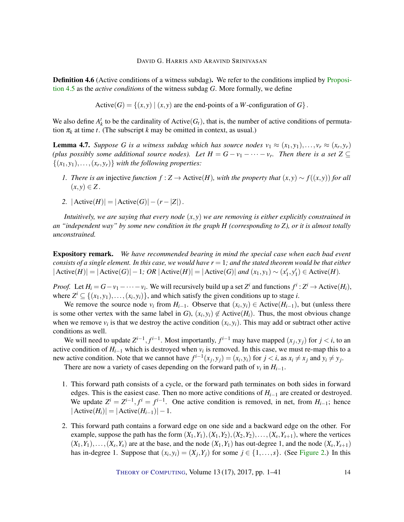**Definition 4.6** (Active conditions of a witness subdag). We refer to the conditions implied by [Proposi](#page-12-0)[tion](#page-12-0) [4.5](#page-12-0) as the *active conditions* of the witness subdag *G*. More formally, we define

Active(*G*) = { $(x, y) | (x, y)$  are the end-points of a *W*-configuration of *G*}.

We also define  $A_k^t$  to be the cardinality of Active( $G_t$ ), that is, the number of active conditions of permutation  $\pi_k$  at time *t*. (The subscript *k* may be omitted in context, as usual.)

<span id="page-13-0"></span>**Lemma 4.7.** Suppose G is a witness subdag which has source nodes  $v_1 \approx (x_1, y_1), \ldots, v_r \approx (x_r, y_r)$ *(plus possibly some additional source nodes). Let*  $H = G - v_1 - \cdots - v_r$ . Then there is a set  $Z \subseteq$  $\{(x_1, y_1), \ldots, (x_r, y_r)\}$  *with the following properties:* 

- *I. There is an* injective *function*  $f$  :  $Z$  → Active(*H*), with the property that  $(x, y) \sim f((x, y))$  *for all*  $(x, y) \in Z$ .
- *2.*  $|Active(H)| = |Active(G)| (r |Z|)$ .

*Intuitively, we are saying that every node* (*x*, *y*) *we are removing is either explicitly constrained in an "independent way" by some new condition in the graph H (corresponding to Z), or it is almost totally unconstrained.*

Expository remark. *We have recommended bearing in mind the special case when each bad event consists of a single element. In this case, we would have r* = 1*; and the stated theorem would be that either*  $|\text{Active}(H)| = |\text{Active}(G)| - 1; \text{ OR } |\text{Active}(H)| = |\text{Active}(G)| \text{ and } (x_1, y_1) \sim (x_1', y_1') \in \text{Active}(H).$ 

*Proof.* Let  $H_i = G - v_1 - \cdots - v_i$ . We will recursively build up a set  $Z^i$  and functions  $f^i : Z^i \to \text{Active}(H_i)$ , where  $Z^i \subseteq \{(x_1, y_1), \ldots, (x_i, y_i)\}$ , and which satisfy the given conditions up to stage *i*.

We remove the source node  $v_i$  from  $H_{i-1}$ . Observe that  $(x_i, y_i) \in \text{Active}(H_{i-1})$ , but (unless there is some other vertex with the same label in *G*),  $(x_i, y_i) \notin$  Active( $H_i$ ). Thus, the most obvious change when we remove  $v_i$  is that we destroy the active condition  $(x_i, y_i)$ . This may add or subtract other active conditions as well.

We will need to update  $Z^{i-1}$ ,  $f^{i-1}$ . Most importantly,  $f^{i-1}$  may have mapped  $(x_j, y_j)$  for  $j < i$ , to an active condition of  $H_{i-1}$  which is destroyed when  $v_i$  is removed. In this case, we must re-map this to a new active condition. Note that we cannot have  $f^{i-1}(x_j, y_j) = (x_i, y_i)$  for  $j < i$ , as  $x_i \neq x_j$  and  $y_i \neq y_j$ .

There are now a variety of cases depending on the forward path of  $v_i$  in  $H_{i-1}$ .

- 1. This forward path consists of a cycle, or the forward path terminates on both sides in forward edges. This is the easiest case. Then no more active conditions of *Hi*−<sup>1</sup> are created or destroyed. We update  $Z^{i} = Z^{i-1}$ ,  $f^{i} = f^{i-1}$ . One active condition is removed, in net, from  $H_{i-1}$ ; hence  $|\text{Active}(H_i)| = |\text{Active}(H_{i-1})| - 1.$
- 2. This forward path contains a forward edge on one side and a backward edge on the other. For example, suppose the path has the form  $(X_1, Y_1), (X_1, Y_2), (X_2, Y_2), \ldots, (X_s, Y_{s+1})$ , where the vertices  $(X_1, Y_1), \ldots, (X_s, Y_s)$  are at the base, and the node  $(X_1, Y_1)$  has out-degree 1, and the node  $(X_s, Y_{s+1})$ has in-degree 1. Suppose that  $(x_i, y_i) = (X_j, Y_j)$  for some  $j \in \{1, \ldots, s\}$ . (See [Figure](#page-14-1) [2.](#page-14-1)) In this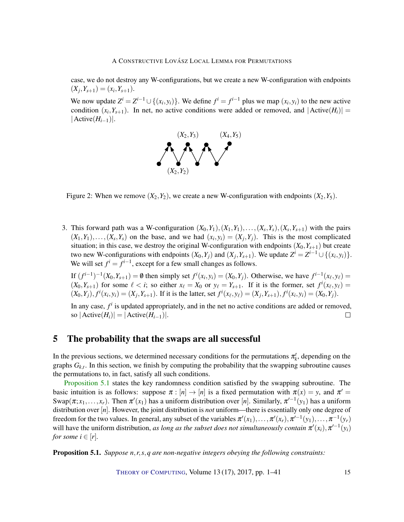case, we do not destroy any W-configurations, but we create a new W-configuration with endpoints  $(X_j, Y_{s+1}) = (x_i, Y_{s+1}).$ 

We now update  $Z^{i} = Z^{i-1} \cup \{(x_i, y_i)\}\$ . We define  $f^{i} = f^{i-1}$  plus we map  $(x_i, y_i)$  to the new active condition  $(x_i, Y_{s+1})$ . In net, no active conditions were added or removed, and  $|Active(H_i)| =$  $|Active(H<sub>i-1</sub>)|$ .



<span id="page-14-1"></span>Figure 2: When we remove  $(X_2, Y_2)$ , we create a new W-configuration with endpoints  $(X_2, Y_5)$ .

3. This forward path was a W-configuration  $(X_0, Y_1), (X_1, Y_1), \ldots, (X_s, Y_s), (X_s, Y_{s+1})$  with the pairs  $(X_1, Y_1), \ldots, (X_s, Y_s)$  on the base, and we had  $(x_i, y_i) = (X_j, Y_j)$ . This is the most complicated situation; in this case, we destroy the original W-configuration with endpoints  $(X_0, Y_{s+1})$  but create two new W-configurations with endpoints  $(X_0, Y_j)$  and  $(X_j, Y_{s+1})$ . We update  $Z^i = Z^{i-1} \cup \{(x_i, y_i)\}$ . We will set  $f^i = f^{i-1}$ , except for a few small changes as follows.

If  $(f^{i-1})^{-1}(X_0, Y_{s+1}) = \emptyset$  then simply set  $f^i(x_i, y_i) = (X_0, Y_j)$ . Otherwise, we have  $f^{i-1}(x_\ell, y_\ell) =$  $(X_0, Y_{s+1})$  for some  $\ell < i$ ; so either  $x_{\ell} = X_0$  or  $y_{\ell} = Y_{s+1}$ . If it is the former, set  $f^i(x_{\ell}, y_{\ell}) =$  $(X_0, Y_j), f^i(x_i, y_i) = (X_j, Y_{s+1}).$  If it is the latter, set  $f^i(x_\ell, y_\ell) = (X_j, Y_{s+1}), f^i(x_i, y_i) = (X_0, Y_j).$ 

In any case,  $f^i$  is updated appropriately, and in the net no active conditions are added or removed, so  $|{\rm Active}(H_i)| = |{\rm Active}(H_{i-1})|$ .  $\Box$ 

## <span id="page-14-0"></span>5 The probability that the swaps are all successful

In the previous sections, we determined necessary conditions for the permutations  $\pi_k^t$ , depending on the graphs  $G_{k,t}$ . In this section, we finish by computing the probability that the swapping subroutine causes the permutations to, in fact, satisfy all such conditions.

[Proposition](#page-14-2) [5.1](#page-14-2) states the key randomness condition satisfied by the swapping subroutine. The basic intuition is as follows: suppose  $\pi$  :  $[n] \to [n]$  is a fixed permutation with  $\pi(x) = y$ , and  $\pi' =$ Swap $(\pi; x_1, \ldots, x_r)$ . Then  $\pi'(x_1)$  has a uniform distribution over [*n*]. Similarly,  $\pi'^{-1}(y_1)$  has a uniform distribution over [*n*]. However, the joint distribution is *not* uniform—there is essentially only one degree of freedom for the two values. In general, any subset of the variables  $\pi'(x_1), \ldots, \pi'(x_r), \pi'^{-1}(y_1), \ldots, \pi^{-1}(y_r)$ will have the uniform distribution, *as long as the subset does not simultaneously contain*  $\pi'(x_i)$ ,  $\pi'^{-1}(y_i)$ *for some*  $i \in [r]$ *.* 

<span id="page-14-2"></span>Proposition 5.1. *Suppose n*,*r*,*s*,*q are non-negative integers obeying the following constraints:*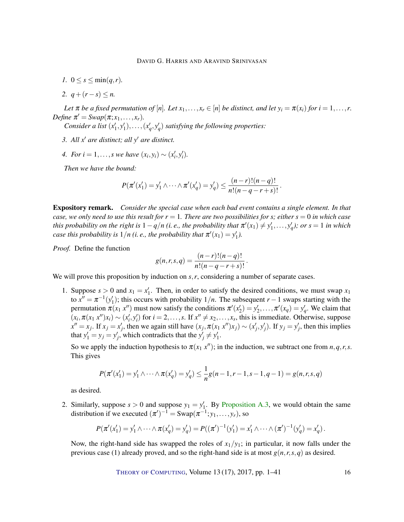- *1.*  $0 \le s \le \min(q, r)$ .
- 2.  $q + (r s) \leq n$ .

*Let*  $\pi$  *be a fixed permutation of* [*n*]*. Let*  $x_1, \ldots, x_r \in [n]$  *be distinct, and let*  $y_i = \pi(x_i)$  *for*  $i = 1, \ldots, r$ . *Define*  $\pi' = \text{Swap}(\pi; x_1, \ldots, x_r)$ *.* 

*Consider a list*  $(x'_1, y'_1), \ldots, (x'_q, y'_q)$  *satisfying the following properties:* 

- *3. All*  $x'$  *are distinct; all*  $y'$  *are distinct.*
- *4. For*  $i = 1, ..., s$  we have  $(x_i, y_i) \sim (x'_i, y'_i)$ .

*Then we have the bound:*

$$
P(\pi'(x'_1) = y'_1 \wedge \cdots \wedge \pi'(x'_q) = y'_q) \leq \frac{(n-r)!(n-q)!}{n!(n-q-r+s)!}.
$$

Expository remark. *Consider the special case when each bad event contains a single element. In that case, we only need to use this result for*  $r = 1$ *. There are two possibilities for s; either*  $s = 0$  *in which case this probability on the right is*  $1 - q/n$  (*i. e., the probability that*  $\pi'(x_1) \neq y'_1, \ldots, y'_q$ *); or*  $s = 1$  *in which case this probability is*  $1/n$  (*i. e., the probability that*  $\pi'(x_1) = y'_1$ *).* 

*Proof.* Define the function

$$
g(n,r,s,q) = \frac{(n-r)!(n-q)!}{n!(n-q-r+s)!}.
$$

We will prove this proposition by induction on *s, r*, considering a number of separate cases.

1. Suppose  $s > 0$  and  $x_1 = x'_1$ . Then, in order to satisfy the desired conditions, we must swap  $x_1$ to  $x'' = \pi^{-1}(y_1')$ ; this occurs with probability  $1/n$ . The subsequent  $r - 1$  swaps starting with the permutation  $\pi(x_1 x'')$  must now satisfy the conditions  $\pi'(x'_2) = y'_2, \ldots, \pi'(x_q) = y'_q$ . We claim that  $(x_i, \pi(x_1, x'')x_i) \sim (x'_i, y'_i)$  for  $i = 2, \ldots, s$ . If  $x'' \neq x_2, \ldots, x_s$ , this is immediate. Otherwise, suppose  $x'' = x_j$ . If  $x_j = x'_j$ , then we again still have  $(x_j, \pi(x_1, x'')x_j) \sim (x'_j, y'_j)$ . If  $y_j = y'_j$ , then this implies that  $y'_1 = y_j = y'_j$ , which contradicts that the  $y'_j \neq y'_1$ .

So we apply the induction hypothesis to  $\pi(x_1, x'')$ ; in the induction, we subtract one from  $n, q, r, s$ . This gives

$$
P(\pi'(x'_1) = y'_1 \land \dots \land \pi(x'_q) = y'_q) \leq \frac{1}{n}g(n-1, r-1, s-1, q-1) = g(n, r, s, q)
$$

as desired.

2. Similarly, suppose  $s > 0$  and suppose  $y_1 = y'_1$ . By [Proposition](#page-36-0) [A.3,](#page-36-0) we would obtain the same distribution if we executed  $(\pi')^{-1} = \text{Swap}(\pi^{-1}; y_1, \dots, y_r)$ , so

$$
P(\pi'(x'_1) = y'_1 \wedge \cdots \wedge \pi(x'_q) = y'_q) = P((\pi')^{-1}(y'_1) = x'_1 \wedge \cdots \wedge (\pi')^{-1}(y'_q) = x'_q).
$$

Now, the right-hand side has swapped the roles of  $x_1/y_1$ ; in particular, it now falls under the previous case (1) already proved, and so the right-hand side is at most  $g(n, r, s, q)$  as desired.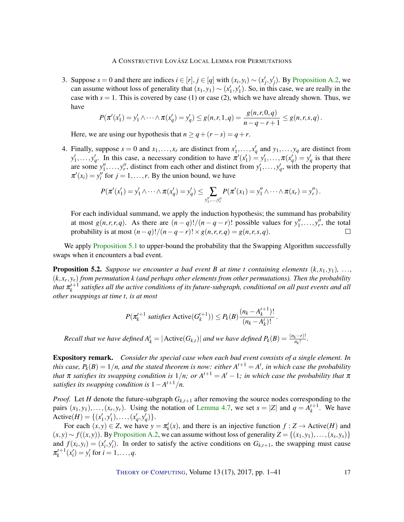3. Suppose  $s = 0$  and there are indices  $i \in [r], j \in [q]$  with  $(x_i, y_i) \sim (x'_j, y'_j)$ . By [Proposition](#page-35-0) [A.2,](#page-35-0) we can assume without loss of generality that  $(x_1, y_1) \sim (x'_1, y'_1)$ . So, in this case, we are really in the case with  $s = 1$ . This is covered by case (1) or case (2), which we have already shown. Thus, we have

$$
P(\pi'(x'_1) = y'_1 \wedge \cdots \wedge \pi(x'_q) = y'_q) \le g(n,r,1,q) = \frac{g(n,r,0,q)}{n-q-r+1} \le g(n,r,s,q).
$$

Here, we are using our hypothesis that  $n \geq q + (r - s) = q + r$ .

4. Finally, suppose  $s = 0$  and  $x_1, \ldots, x_r$  are distinct from  $x'_1, \ldots, x'_q$  and  $y_1, \ldots, y_q$  are distinct from  $y'_1, \ldots, y'_q$ . In this case, a necessary condition to have  $\pi'(x'_1) = y'_1, \ldots, \pi(x'_q) = y'_q$  is that there are some  $y''_1, \ldots, y''_r$ , distinct from each other and distinct from  $y'_1, \ldots, y'_q$ , with the property that  $\pi'(x_i) = y''_i$  for  $j = 1, \ldots, r$ . By the union bound, we have

$$
P(\pi'(x'_1) = y'_1 \wedge \cdots \wedge \pi(x'_q) = y'_q) \leq \sum_{y''_1, \ldots, y''_r} P(\pi'(x_1) = y''_1 \wedge \cdots \wedge \pi(x_r) = y''_r).
$$

For each individual summand, we apply the induction hypothesis; the summand has probability at most  $g(n,r,r,q)$ . As there are  $(n-q)!/(n-q-r)!$  possible values for  $y''_1, \ldots, y''_r$ , the total probability is at most  $(n-q)!/(n-q-r)! \times g(n,r,r,q) = g(n,r,s,q)$ .

We apply [Proposition](#page-14-2) [5.1](#page-14-2) to upper-bound the probability that the Swapping Algorithm successfully swaps when it encounters a bad event.

<span id="page-16-0"></span>**Proposition 5.2.** *Suppose we encounter a bad event B at time t containing elements*  $(k, x_1, y_1)$ *, ...,* (*k*, *x<sup>r</sup>* , *yr*) *from permutation k (and perhaps other elements from other permutations). Then the probability* that  $\pi_k^{t+1}$  satisfies all the active conditions of its future-subgraph, conditional on all past events and all *other swappings at time t, is at most*

$$
P(\pi_k^{t+1} \text{ satisfies Active}(G_k^{t+1})) \le P_k(B) \frac{(n_k - A_k^{t+1})!}{(n_k - A_k^t)!}
$$

.

*Recall that we have defined*  $A_k^t = |\text{Active}(G_{k,t})|$  *and we have defined*  $P_k(B) = \frac{(n_k - r)!}{n_k!}$ .

Expository remark. *Consider the special case when each bad event consists of a single element. In this case,*  $P_k(B) = 1/n$ , and the stated theorem is now: either  $A^{t+1} = A^t$ , in which case the probability *that*  $\pi$  *satisfies its swapping condition is*  $1/n$ ; *or*  $A^{t+1} = A^t - 1$ ; *in which case the probability that*  $\pi$ *satisfies its swapping condition is*  $1 - A^{t+1}/n$ .

*Proof.* Let *H* denote the future-subgraph  $G_{k,t+1}$  after removing the source nodes corresponding to the pairs  $(x_1, y_1), \ldots, (x_r, y_r)$ . Using the notation of [Lemma](#page-13-0) [4.7,](#page-13-0) we set  $s = |Z|$  and  $q = A_k^{t+1}$ . We have Active(*H*) = {(*x'*<sub>1</sub>, *y'*<sub>1</sub>), . . . . , (*x'<sub>q</sub>*, *y'<sub>q</sub>*)}.

For each  $(x, y) \in Z$ , we have  $y = \pi_k^t(x)$ , and there is an injective function  $f : Z \to \text{Active}(H)$  and  $f(x, y) \sim f((x, y))$ . By [Proposition](#page-35-0) [A.2,](#page-35-0) we can assume without loss of generality  $Z = \{(x_1, y_1), \ldots, (x_s, y_s)\}$ and  $f(x_i, y_i) = (x'_i, y'_i)$ . In order to satisfy the active conditions on  $G_{k,t+1}$ , the swapping must cause  $\pi_k^{t+1}(x_i') = y_i'$  for  $i = 1, ..., q$ .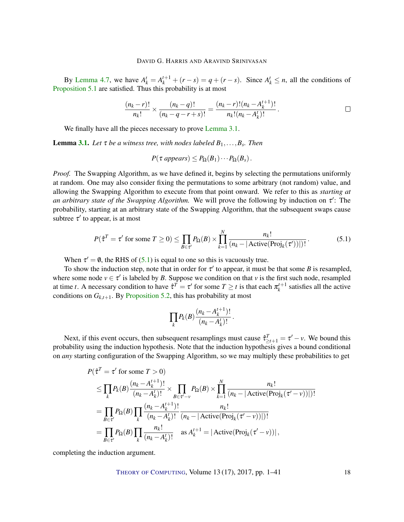By [Lemma](#page-13-0) [4.7,](#page-13-0) we have  $A_k^t = A_k^{t+1} + (r - s) = q + (r - s)$ . Since  $A_k^t \le n$ , all the conditions of [Proposition](#page-14-2) [5.1](#page-14-2) are satisfied. Thus this probability is at most

$$
\frac{(n_k-r)!}{n_k!} \times \frac{(n_k-q)!}{(n_k-q-r+s)!} = \frac{(n_k-r)!(n_k-A_k^{t+1})!}{n_k!(n_k-A_k^t)!}.
$$

We finally have all the pieces necessary to prove [Lemma](#page-6-0) [3.1.](#page-6-0)

Lemma [3.1.](#page-6-0) *Let* τ *be a witness tree, with nodes labeled B*1,...,*B<sup>s</sup> . Then*

$$
P(\tau\text{ appears}) \leq P_{\Omega}(B_1) \cdots P_{\Omega}(B_s).
$$

*Proof.* The Swapping Algorithm, as we have defined it, begins by selecting the permutations uniformly at random. One may also consider fixing the permutations to some arbitrary (not random) value, and allowing the Swapping Algorithm to execute from that point onward. We refer to this as *starting at an arbitrary state of the Swapping Algorithm.* We will prove the following by induction on  $\tau'$ : The probability, starting at an arbitrary state of the Swapping Algorithm, that the subsequent swaps cause subtree  $\tau'$  to appear, is at most

<span id="page-17-0"></span>
$$
P(\hat{\tau}^T = \tau' \text{ for some } T \ge 0) \le \prod_{B \in \tau'} P_{\Omega}(B) \times \prod_{k=1}^N \frac{n_k!}{(n_k - |\text{Active}(\text{Proj}_k(\tau'))|)!}.
$$
(5.1)

When  $\tau' = \emptyset$ , the RHS of [\(5.1\)](#page-17-0) is equal to one so this is vacuously true.

To show the induction step, note that in order for  $\tau'$  to appear, it must be that some *B* is resampled, where some node  $v \in \tau'$  is labeled by *B*. Suppose we condition on that *v* is the first such node, resampled at time *t*. A necessary condition to have  $\hat{\tau}^T = \tau'$  for some  $T \ge t$  is that each  $\pi_k^{t+1}$  satisfies all the active conditions on  $G_{k,t+1}$ . By [Proposition](#page-16-0) [5.2,](#page-16-0) this has probability at most

$$
\prod_k P_k(B) \frac{(n_k - A_k^{t+1})!}{(n_k - A_k^t)!}.
$$

Next, if this event occurs, then subsequent resamplings must cause  $\hat{\tau}_{\geq t+1}^T = \tau' - \nu$ . We bound this probability using the induction hypothesis. Note that the induction hypothesis gives a bound conditional on *any* starting configuration of the Swapping Algorithm, so we may multiply these probabilities to get

$$
P(\hat{\tau}^T = \tau' \text{ for some } T > 0)
$$
  
\n
$$
\leq \prod_k P_k(B) \frac{(n_k - A_k^{t+1})!}{(n_k - A_k^t)!} \times \prod_{B \in \tau' - \nu} P_{\Omega}(B) \times \prod_{k=1}^N \frac{n_k!}{(n_k - |\text{Active(Proj}_k(\tau' - \nu))|)!}
$$
  
\n
$$
= \prod_{B \in \tau'} P_{\Omega}(B) \prod_k \frac{(n_k - A_k^{t+1})!}{(n_k - A_k^t)!} \frac{n_k!}{(n_k - |\text{Active(Proj}_k(\tau' - \nu))|)!}
$$
  
\n
$$
= \prod_{B \in \tau'} P_{\Omega}(B) \prod_k \frac{n_k!}{(n_k - A_k^t)!} \text{ as } A_k^{t+1} = |\text{Active(Proj}_k(\tau' - \nu))|,
$$

completing the induction argument.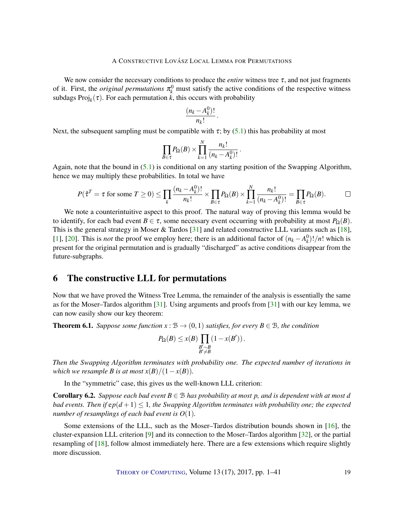<span id="page-18-1"></span>We now consider the necessary conditions to produce the *entire* witness tree  $\tau$ , and not just fragments of it. First, the *original permutations*  $\pi_k^0$  must satisfy the active conditions of the respective witness subdags  $\text{Proj}_k(\tau)$ . For each permutation *k*, this occurs with probability

$$
\frac{(n_k-A_k^0)!}{n_k!}.
$$

Next, the subsequent sampling must be compatible with  $\tau$ ; by [\(5.1\)](#page-17-0) this has probability at most

$$
\prod_{B \in \tau} P_{\Omega}(B) \times \prod_{k=1}^N \frac{n_k!}{(n_k - A_k^0)!}.
$$

Again, note that the bound in [\(5.1\)](#page-17-0) is conditional on any starting position of the Swapping Algorithm, hence we may multiply these probabilities. In total we have

$$
P(\hat{\tau}^T = \tau \text{ for some } T \ge 0) \le \prod_k \frac{(n_k - A_k^0)!}{n_k!} \times \prod_{B \in \tau} P_{\Omega}(B) \times \prod_{k=1}^N \frac{n_k!}{(n_k - A_k^0)!} = \prod_{B \in \tau} P_{\Omega}(B).
$$

We note a counterintuitive aspect to this proof. The natural way of proving this lemma would be to identify, for each bad event *B* ∈  $\tau$ , some necessary event occurring with probability at most *P*<sub>Ω</sub>(*B*). This is the general strategy in Moser & Tardos [\[31\]](#page-39-1) and related constructive LLL variants such as [\[18\]](#page-38-2), [\[1\]](#page-37-3), [\[20\]](#page-38-5). This is *not* the proof we employ here; there is an additional factor of  $(n_k - A_k^0)!/n!$  which is present for the original permutation and is gradually "discharged" as active conditions disappear from the future-subgraphs.

### <span id="page-18-0"></span>6 The constructive LLL for permutations

Now that we have proved the Witness Tree Lemma, the remainder of the analysis is essentially the same as for the Moser–Tardos algorithm [\[31\]](#page-39-1). Using arguments and proofs from [\[31\]](#page-39-1) with our key lemma, we can now easily show our key theorem:

**Theorem 6.1.** *Suppose some function*  $x : \mathcal{B} \to (0,1)$  *satisfies, for every*  $B \in \mathcal{B}$ *, the condition* 

$$
P_{\Omega}(B) \leq x(B) \prod_{\substack{B' \sim B \\ B' \neq B}} (1 - x(B')).
$$

*Then the Swapping Algorithm terminates with probability one. The expected number of iterations in which we resample B is at most*  $x(B)/(1-x(B))$ *.* 

In the "symmetric" case, this gives us the well-known LLL criterion:

**Corollary 6.2.** *Suppose each bad event*  $B \in \mathcal{B}$  *has probability at most p*, and is dependent with at most *d bad events. Then if*  $ep(d+1) \leq 1$ *, the Swapping Algorithm terminates with probability one; the expected number of resamplings of each bad event is O*(1)*.*

Some extensions of the LLL, such as the Moser–Tardos distribution bounds shown in [\[16\]](#page-38-1), the cluster-expansion LLL criterion [\[9\]](#page-37-1) and its connection to the Moser–Tardos algorithm [\[32\]](#page-39-2), or the partial resampling of [\[18\]](#page-38-2), follow almost immediately here. There are a few extensions which require slightly more discussion.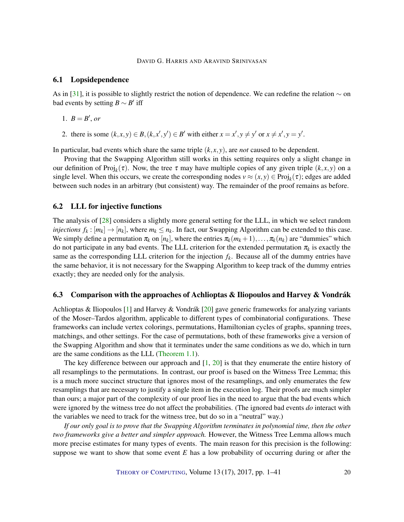#### <span id="page-19-1"></span>6.1 Lopsidependence

As in [\[31\]](#page-39-1), it is possible to slightly restrict the notion of dependence. We can redefine the relation  $\sim$  on bad events by setting  $B \sim B'$  iff

- 1.  $B = B'$ , or
- 2. there is some  $(k, x, y) \in B$ ,  $(k, x', y') \in B'$  with either  $x = x', y \neq y'$  or  $x \neq x', y = y'$ .

In particular, bad events which share the same triple  $(k, x, y)$ , are *not* caused to be dependent.

Proving that the Swapping Algorithm still works in this setting requires only a slight change in our definition of Proj<sub>k</sub>( $\tau$ ). Now, the tree  $\tau$  may have multiple copies of any given triple ( $k, x, y$ ) on a single level. When this occurs, we create the corresponding nodes  $v \approx (x, y) \in Proj_k(\tau)$ ; edges are added between such nodes in an arbitrary (but consistent) way. The remainder of the proof remains as before.

#### 6.2 LLL for injective functions

The analysis of [\[28\]](#page-39-6) considers a slightly more general setting for the LLL, in which we select random *injections*  $f_k : [m_k] \to [n_k]$ , where  $m_k \leq n_k$ . In fact, our Swapping Algorithm can be extended to this case. We simply define a permutation  $\pi_k$  on  $[n_k]$ , where the entries  $\pi_k(m_k+1),\ldots,\pi_k(n_k)$  are "dummies" which do not participate in any bad events. The LLL criterion for the extended permutation  $\pi_k$  is exactly the same as the corresponding LLL criterion for the injection  $f_k$ . Because all of the dummy entries have the same behavior, it is not necessary for the Swapping Algorithm to keep track of the dummy entries exactly; they are needed only for the analysis.

#### <span id="page-19-0"></span>6.3 Comparison with the approaches of Achlioptas & Iliopoulos and Harvey & Vondrák

Achlioptas & Iliopoulos [\[1\]](#page-37-3) and Harvey & Vondrák [\[20\]](#page-38-5) gave generic frameworks for analyzing variants of the Moser–Tardos algorithm, applicable to different types of combinatorial configurations. These frameworks can include vertex colorings, permutations, Hamiltonian cycles of graphs, spanning trees, matchings, and other settings. For the case of permutations, both of these frameworks give a version of the Swapping Algorithm and show that it terminates under the same conditions as we do, which in turn are the same conditions as the LLL [\(Theorem](#page-2-0) [1.1\)](#page-2-0).

The key difference between our approach and [\[1,](#page-37-3) [20\]](#page-38-5) is that they enumerate the entire history of all resamplings to the permutations. In contrast, our proof is based on the Witness Tree Lemma; this is a much more succinct structure that ignores most of the resamplings, and only enumerates the few resamplings that are necessary to justify a single item in the execution log. Their proofs are much simpler than ours; a major part of the complexity of our proof lies in the need to argue that the bad events which were ignored by the witness tree do not affect the probabilities. (The ignored bad events *do* interact with the variables we need to track for the witness tree, but do so in a "neutral" way.)

*If our only goal is to prove that the Swapping Algorithm terminates in polynomial time, then the other two frameworks give a better and simpler approach.* However, the Witness Tree Lemma allows much more precise estimates for many types of events. The main reason for this precision is the following: suppose we want to show that some event *E* has a low probability of occurring during or after the

THEORY OF C[OMPUTING](http://dx.doi.org/10.4086/toc), Volume 13 (17), 2017, pp. 1–41 20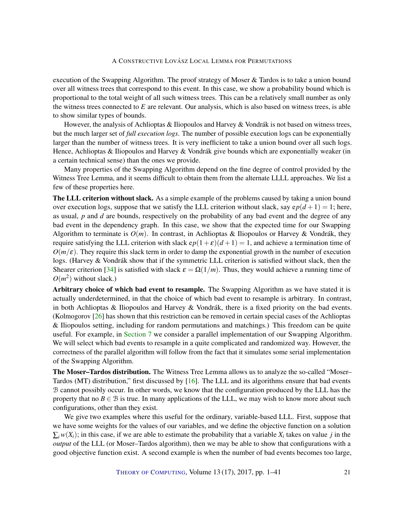<span id="page-20-0"></span>execution of the Swapping Algorithm. The proof strategy of Moser  $\&$  Tardos is to take a union bound over all witness trees that correspond to this event. In this case, we show a probability bound which is proportional to the total weight of all such witness trees. This can be a relatively small number as only the witness trees connected to *E* are relevant. Our analysis, which is also based on witness trees, is able to show similar types of bounds.

However, the analysis of Achlioptas & Iliopoulos and Harvey & Vondrák is not based on witness trees, but the much larger set of *full execution logs*. The number of possible execution logs can be exponentially larger than the number of witness trees. It is very inefficient to take a union bound over all such logs. Hence, Achlioptas & Iliopoulos and Harvey & Vondrák give bounds which are exponentially weaker (in a certain technical sense) than the ones we provide.

Many properties of the Swapping Algorithm depend on the fine degree of control provided by the Witness Tree Lemma, and it seems difficult to obtain them from the alternate LLLL approaches. We list a few of these properties here.

**The LLL criterion without slack.** As a simple example of the problems caused by taking a union bound over execution logs, suppose that we satisfy the LLL criterion without slack, say  $ep(d+1) = 1$ ; here, as usual, *p* and *d* are bounds, respectively on the probability of any bad event and the degree of any bad event in the dependency graph. In this case, we show that the expected time for our Swapping Algorithm to terminate is  $O(m)$ . In contrast, in Achlioptas & Iliopoulos or Harvey & Vondrák, they require satisfying the LLL criterion with slack  $ep(1+\varepsilon)(d+1) = 1$ , and achieve a termination time of  $O(m/\epsilon)$ . They require this slack term in order to damp the exponential growth in the number of execution logs. (Harvey & Vondrák show that if the symmetric LLL criterion is satisfied without slack, then the Shearer criterion [\[34\]](#page-39-9) is satisfied with slack  $\varepsilon = \Omega(1/m)$ . Thus, they would achieve a running time of  $O(m^2)$  without slack.)

Arbitrary choice of which bad event to resample. The Swapping Algorithm as we have stated it is actually underdetermined, in that the choice of which bad event to resample is arbitrary. In contrast, in both Achlioptas & Iliopoulos and Harvey & Vondrák, there is a fixed priority on the bad events. (Kolmogorov [\[26\]](#page-38-6) has shown that this restriction can be removed in certain special cases of the Achlioptas & Iliopoulos setting, including for random permutations and matchings.) This freedom can be quite useful. For example, in [Section](#page-21-0) [7](#page-21-0) we consider a parallel implementation of our Swapping Algorithm. We will select which bad events to resample in a quite complicated and randomized way. However, the correctness of the parallel algorithm will follow from the fact that it simulates some serial implementation of the Swapping Algorithm.

The Moser–Tardos distribution. The Witness Tree Lemma allows us to analyze the so-called "Moser– Tardos (MT) distribution," first discussed by  $[16]$ . The LLL and its algorithms ensure that bad events B cannot possibly occur. In other words, we know that the configuration produced by the LLL has the property that no  $B \in \mathcal{B}$  is true. In many applications of the LLL, we may wish to know more about such configurations, other than they exist.

We give two examples where this useful for the ordinary, variable-based LLL. First, suppose that we have some weights for the values of our variables, and we define the objective function on a solution  $\sum_i w(X_i)$ ; in this case, if we are able to estimate the probability that a variable  $X_i$  takes on value *j* in the *output* of the LLL (or Moser–Tardos algorithm), then we may be able to show that configurations with a good objective function exist. A second example is when the number of bad events becomes too large,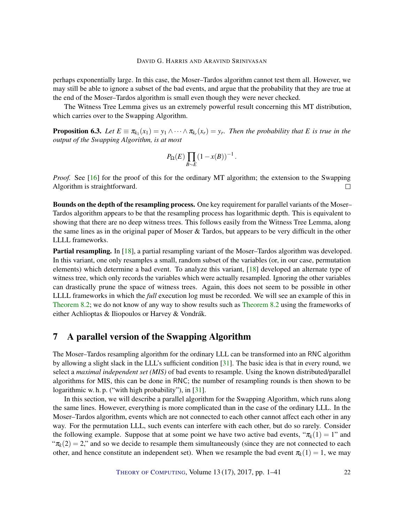<span id="page-21-1"></span>perhaps exponentially large. In this case, the Moser–Tardos algorithm cannot test them all. However, we may still be able to ignore a subset of the bad events, and argue that the probability that they are true at the end of the Moser–Tardos algorithm is small even though they were never checked.

The Witness Tree Lemma gives us an extremely powerful result concerning this MT distribution, which carries over to the Swapping Algorithm.

**Proposition 6.3.** Let  $E \equiv \pi_{k_1}(x_1) = y_1 \wedge \cdots \wedge \pi_{k_r}(x_r) = y_r$ . Then the probability that E is true in the *output of the Swapping Algorithm, is at most*

$$
P_{\Omega}(E)\prod_{B\sim E}(1-x(B))^{-1}.
$$

*Proof.* See [\[16\]](#page-38-1) for the proof of this for the ordinary MT algorithm; the extension to the Swapping Algorithm is straightforward.  $\Box$ 

Bounds on the depth of the resampling process. One key requirement for parallel variants of the Moser– Tardos algorithm appears to be that the resampling process has logarithmic depth. This is equivalent to showing that there are no deep witness trees. This follows easily from the Witness Tree Lemma, along the same lines as in the original paper of Moser & Tardos, but appears to be very difficult in the other LLLL frameworks.

Partial resampling. In [\[18\]](#page-38-2), a partial resampling variant of the Moser–Tardos algorithm was developed. In this variant, one only resamples a small, random subset of the variables (or, in our case, permutation elements) which determine a bad event. To analyze this variant, [\[18\]](#page-38-2) developed an alternate type of witness tree, which only records the variables which were actually resampled. Ignoring the other variables can drastically prune the space of witness trees. Again, this does not seem to be possible in other LLLL frameworks in which the *full* execution log must be recorded. We will see an example of this in [Theorem](#page-27-0) [8.2;](#page-27-0) we do not know of any way to show results such as [Theorem](#page-27-0) [8.2](#page-27-0) using the frameworks of either Achlioptas & Iliopoulos or Harvey & Vondrák.

## <span id="page-21-0"></span>7 A parallel version of the Swapping Algorithm

The Moser–Tardos resampling algorithm for the ordinary LLL can be transformed into an RNC algorithm by allowing a slight slack in the LLL's sufficient condition [\[31\]](#page-39-1). The basic idea is that in every round, we select a *maximal independent set (MIS)* of bad events to resample. Using the known distributed/parallel algorithms for MIS, this can be done in RNC; the number of resampling rounds is then shown to be logarithmic w. h. p. ("with high probability"), in [\[31\]](#page-39-1).

In this section, we will describe a parallel algorithm for the Swapping Algorithm, which runs along the same lines. However, everything is more complicated than in the case of the ordinary LLL. In the Moser–Tardos algorithm, events which are not connected to each other cannot affect each other in any way. For the permutation LLL, such events can interfere with each other, but do so rarely. Consider the following example. Suppose that at some point we have two active bad events, " $\pi_k(1) = 1$ " and " $\pi_k(2) = 2$ ," and so we decide to resample them simultaneously (since they are not connected to each other, and hence constitute an independent set). When we resample the bad event  $\pi_k(1) = 1$ , we may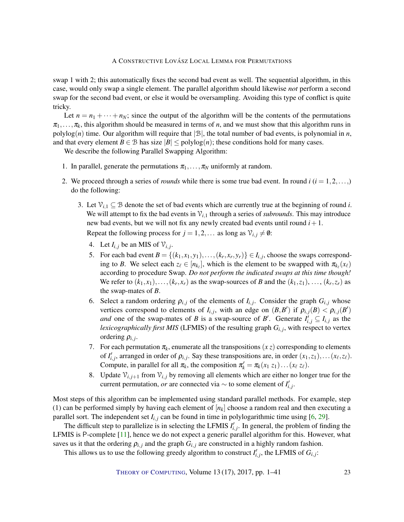<span id="page-22-0"></span>swap 1 with 2; this automatically fixes the second bad event as well. The sequential algorithm, in this case, would only swap a single element. The parallel algorithm should likewise *not* perform a second swap for the second bad event, or else it would be oversampling. Avoiding this type of conflict is quite tricky.

Let  $n = n_1 + \cdots + n_N$ ; since the output of the algorithm will be the contents of the permutations  $\pi_1, \ldots, \pi_k$ , this algorithm should be measured in terms of *n*, and we must show that this algorithm runs in polylog(*n*) time. Our algorithm will require that  $|\mathcal{B}|$ , the total number of bad events, is polynomial in *n*, and that every element  $B \in \mathcal{B}$  has size  $|B| \leq \text{polylog}(n)$ ; these conditions hold for many cases.

We describe the following Parallel Swapping Algorithm:

- 1. In parallel, generate the permutations  $\pi_1, \ldots, \pi_N$  uniformly at random.
- 2. We proceed through a series of *rounds* while there is some true bad event. In round  $i$  ( $i = 1, 2, \ldots$ ) do the following:
	- 3. Let  $\mathcal{V}_{i,1} \subseteq \mathcal{B}$  denote the set of bad events which are currently true at the beginning of round *i*. We will attempt to fix the bad events in  $V_{i,1}$  through a series of *subrounds*. This may introduce new bad events, but we will not fix any newly created bad events until round  $i + 1$ . Repeat the following process for  $j = 1, 2, \dots$  as long as  $\mathcal{V}_{i,j} \neq \emptyset$ :
		- 4. Let  $I_{i,j}$  be an MIS of  $\mathcal{V}_{i,j}$ .
		- 5. For each bad event  $B = \{(k_1, x_1, y_1), \ldots, (k_r, x_r, y_r)\} \in I_{i,j}$ , choose the swaps corresponding to *B*. We select each  $z_\ell \in [n_{k_\ell}]$ , which is the element to be swapped with  $\pi_{k_\ell}(x_\ell)$ according to procedure Swap. *Do not perform the indicated swaps at this time though!* We refer to  $(k_1, x_1), \ldots, (k_r, x_r)$  as the swap-sources of *B* and the  $(k_1, z_1), \ldots, (k_r, z_r)$  as the swap-mates of *B*.
		- 6. Select a random ordering  $\rho_{i,j}$  of the elements of  $I_{i,j}$ . Consider the graph  $G_{i,j}$  whose vertices correspond to elements of  $I_{i,j}$ , with an edge on  $(B,B')$  if  $\rho_{i,j}(B) < \rho_{i,j}(B')$ *and* one of the swap-mates of *B* is a swap-source of *B*<sup> $\prime$ </sup>. Generate  $I_{i,j}^{\prime} \subseteq I_{i,j}$  as the *lexicographically first MIS* (LFMIS) of the resulting graph  $G_{i,j}$ , with respect to vertex ordering  $\rho_{i,j}$ .
		- 7. For each permutation  $\pi_k$ , enumerate all the transpositions  $(x z)$  corresponding to elements of  $I'_{i,j}$ , arranged in order of  $\rho_{i,j}$ . Say these transpositions are, in order  $(x_1, z_1), \ldots (x_\ell, z_\ell)$ . Compute, in parallel for all  $\pi_k$ , the composition  $\pi'_k = \pi_k(x_1 \ z_1) \dots (x_\ell \ z_\ell)$ .
		- 8. Update  $\mathcal{V}_{i,j+1}$  from  $\mathcal{V}_{i,j}$  by removing all elements which are either no longer true for the current permutation, *or* are connected via  $\sim$  to some element of  $I'_{i,j}$ .

Most steps of this algorithm can be implemented using standard parallel methods. For example, step (1) can be performed simply by having each element of  $[n_k]$  choose a random real and then executing a parallel sort. The independent set  $I_{i,j}$  can be found in time in polylogarithmic time using  $[6, 29]$  $[6, 29]$  $[6, 29]$ .

The difficult step to parallelize is in selecting the LFMIS  $I'_{i,j}$ . In general, the problem of finding the LFMIS is P-complete [\[11\]](#page-37-10), hence we do not expect a generic parallel algorithm for this. However, what saves us it that the ordering  $\rho_{i,j}$  and the graph  $G_{i,j}$  are constructed in a highly random fashion.

This allows us to use the following greedy algorithm to construct  $I'_{i,j}$ , the LFMIS of  $G_{i,j}$ :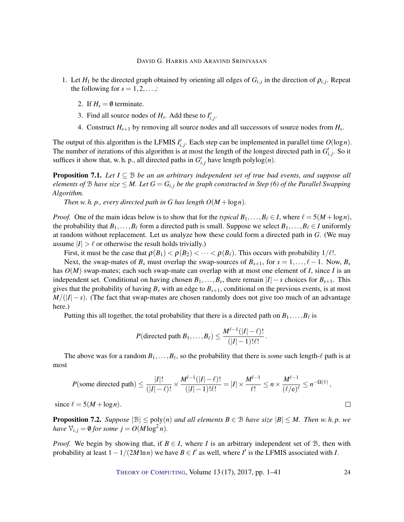- 1. Let  $H_1$  be the directed graph obtained by orienting all edges of  $G_{i,j}$  in the direction of  $\rho_{i,j}$ . Repeat the following for  $s = 1, 2, \ldots$ ;
	- 2. If  $H_s = \emptyset$  terminate.
	- 3. Find all source nodes of  $H_s$ . Add these to  $I'_{i,j}$ .
	- 4. Construct  $H_{s+1}$  by removing all source nodes and all successors of source nodes from  $H_s$ .

The output of this algorithm is the LFMIS  $I'_{i,j}$ . Each step can be implemented in parallel time  $O(\log n)$ . The number of iterations of this algorithm is at most the length of the longest directed path in  $G'_{i,j}$ . So it suffices it show that, w. h. p., all directed paths in  $G'_{i,j}$  have length polylog(*n*).

**Proposition 7.1.** *Let*  $I \subseteq B$  *be an an arbitrary independent set of true bad events, and suppose all elements of*  $B$  *have size*  $\leq M$ *. Let*  $G = G_{i,j}$  *be the graph constructed in Step (6) of the Parallel Swapping Algorithm.*

*Then w. h. p., every directed path in G has length*  $O(M + \log n)$ *.* 

*Proof.* One of the main ideas below is to show that for the *typical*  $B_1, \ldots, B_\ell \in I$ , where  $\ell = 5(M + \log n)$ , the probability that  $B_1, \ldots, B_\ell$  form a directed path is small. Suppose we select  $B_1, \ldots, B_\ell \in I$  uniformly at random without replacement. Let us analyze how these could form a directed path in *G*. (We may assume  $|I| > \ell$  or otherwise the result holds trivially.)

First, it must be the case that  $\rho(B_1) < \rho(B_2) < \cdots < \rho(B_\ell)$ . This occurs with probability  $1/\ell!$ .

Next, the swap-mates of  $B_s$  must overlap the swap-sources of  $B_{s+1}$ , for  $s = 1, \ldots, \ell - 1$ . Now,  $B_s$ has *O*(*M*) swap-mates; each such swap-mate can overlap with at most one element of *I*, since *I* is an independent set. Conditional on having chosen  $B_1, \ldots, B_s$ , there remain  $|I| - s$  choices for  $B_{s+1}$ . This gives that the probability of having  $B_s$  with an edge to  $B_{s+1}$ , conditional on the previous events, is at most  $M/(|I|-s)$ . (The fact that swap-mates are chosen randomly does not give too much of an advantage here.)

Putting this all together, the total probability that there is a directed path on  $B_1, \ldots, B_\ell$  is

$$
P(\text{directed path } B_1,\ldots,B_\ell) \leq \frac{M^{\ell-1}(|I|-\ell)!}{(|I|-1)!\ell!}.
$$

The above was for a random  $B_1, \ldots, B_\ell$ , so the probability that there is *some* such length- $\ell$  path is at most

$$
P(\text{some directed path}) \le \frac{|I|!}{(|I| - \ell)!} \times \frac{M^{l-1}(|I| - \ell)!}{(|I| - 1)!\ell!} = |I| \times \frac{M^{l-1}}{\ell!} \le n \times \frac{M^{\ell-1}}{(\ell/\mathbf{e})^{\ell}} \le n^{-\Omega(1)},
$$

since  $\ell = 5(M + \log n)$ .

**Proposition 7.2.** *Suppose*  $|\mathcal{B}| \leq \text{poly}(n)$  *and all elements*  $B \in \mathcal{B}$  *have size*  $|B| \leq M$ *. Then w. h. p. we have*  $\mathcal{V}_{i,j} = \emptyset$  *for some j* =  $O(M \log^2 n)$ *.* 

*Proof.* We begin by showing that, if  $B \in I$ , where *I* is an arbitrary independent set of B, then with probability at least  $1 - 1/(2M \ln n)$  we have  $B \in I'$  as well, where *I'* is the LFMIS associated with *I*.

THEORY OF C[OMPUTING](http://dx.doi.org/10.4086/toc), Volume 13 (17), 2017, pp. 1–41 24

 $\Box$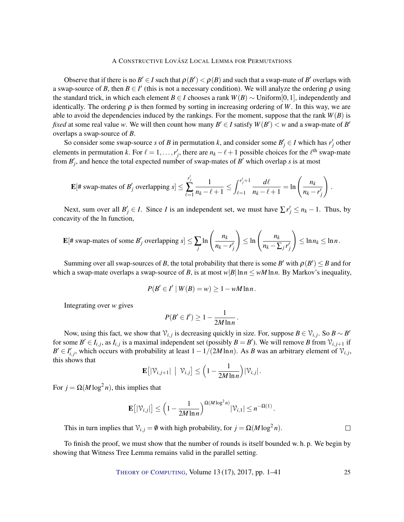Observe that if there is no  $B' \in I$  such that  $\rho(B') < \rho(B)$  and such that a swap-mate of  $B'$  overlaps with a swap-source of *B*, then  $B \in I'$  (this is not a necessary condition). We will analyze the ordering  $\rho$  using the standard trick, in which each element *B* ∈ *I* chooses a rank  $W(B) \sim$  Uniform[0,1], independently and identically. The ordering  $\rho$  is then formed by sorting in increasing ordering of *W*. In this way, we are able to avoid the dependencies induced by the rankings. For the moment, suppose that the rank  $W(B)$  is *fixed* at some real value *w*. We will then count how many  $B' \in I$  satisfy  $W(B') < w$  and a swap-mate of  $B'$ overlaps a swap-source of *B*.

So consider some swap-source *s* of *B* in permutation *k*, and consider some  $B'_j \in I$  which has  $r'_j$  other elements in permutation *k*. For  $\ell = 1, \ldots, r'_j$ , there are  $n_k - \ell + 1$  possible choices for the  $\ell^{\text{th}}$  swap-mate from  $B'_{j}$ , and hence the total expected number of swap-mates of  $B'$  which overlap *s* is at most

$$
\mathbf{E}[\text{# swap-mates of } B'_j \text{ overlapping } s] \leq \sum_{\ell=1}^{r'_j} \frac{1}{n_k - \ell + 1} \leq \int_{\ell=1}^{r'_j + 1} \frac{d\ell}{n_k - \ell + 1} = \ln\left(\frac{n_k}{n_k - r'_j}\right).
$$

Next, sum over all  $B'_j \in I$ . Since *I* is an independent set, we must have  $\sum r'_j \leq n_k - 1$ . Thus, by concavity of the ln function,

$$
\mathbf{E}[\text{# swap-mates of some } B'_j \text{ overlapping } s] \leq \sum_j \ln \left( \frac{n_k}{n_k - r'_j} \right) \leq \ln \left( \frac{n_k}{n_k - \sum_j r'_j} \right) \leq \ln n_k \leq \ln n.
$$

Summing over all swap-sources of *B*, the total probability that there is some *B'* with  $\rho(B') \leq B$  and for which a swap-mate overlaps a swap-source of *B*, is at most  $w|B|\ln n \leq wM\ln n$ . By Markov's inequality,

$$
P(B' \in I' \mid W(B) = w) \ge 1 - wM \ln n.
$$

Integrating over *w* gives

$$
P(B'\in I')\geq 1-\frac{1}{2M\ln n}.
$$

Now, using this fact, we show that  $\mathcal{V}_{i,j}$  is decreasing quickly in size. For, suppose  $B \in \mathcal{V}_{i,j}$ . So  $B \sim B'$ for some  $B' \in I_{i,j}$ , as  $I_{i,j}$  is a maximal independent set (possibly  $B = B'$ ). We will remove B from  $V_{i,j+1}$  if  $B' \in I'_{i,j}$ , which occurs with probability at least  $1 - 1/(2M \ln n)$ . As *B* was an arbitrary element of  $\mathcal{V}_{i,j}$ , this shows that

$$
\mathbf{E}\big[|\mathcal{V}_{i,j+1}| \mid \mathcal{V}_{i,j}\big] \leq \Big(1-\frac{1}{2M\ln n}\Big)|\mathcal{V}_{i,j}|.
$$

For  $j = \Omega(M \log^2 n)$ , this implies that

$$
\mathbf{E}\big[|\mathcal{V}_{i,j}|\big] \le \left(1 - \frac{1}{2M\ln n}\right)^{\Omega(M\log^2 n)} |\mathcal{V}_{i,1}| \le n^{-\Omega(1)}.
$$

This in turn implies that  $\mathcal{V}_{i,j} = \emptyset$  with high probability, for  $j = \Omega(M \log^2 n)$ .

To finish the proof, we must show that the number of rounds is itself bounded w. h. p. We begin by showing that Witness Tree Lemma remains valid in the parallel setting.

THEORY OF C[OMPUTING](http://dx.doi.org/10.4086/toc), Volume 13 (17), 2017, pp. 1–41 25

 $\Box$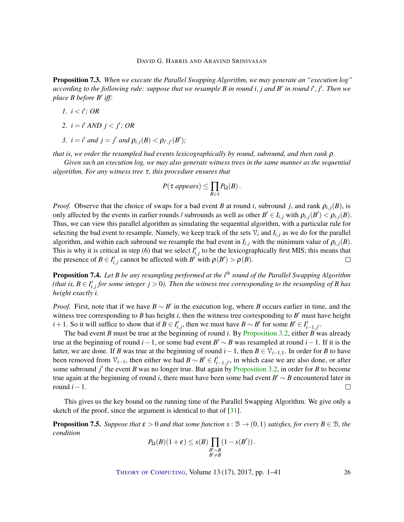<span id="page-25-0"></span>Proposition 7.3. *When we execute the Parallel Swapping Algorithm, we may generate an "execution log" according to the following rule: suppose that we resample B in round i*, *j and B* 0 *in round i* 0 , *j* 0 *. Then we place B before B*<sup>0</sup> *iff:*

- *l.*  $i < i'$ ; OR
- 2.  $i = i'$  *AND*  $j < j'$ ; OR
- *3.*  $i = i'$  *and*  $j = j'$  *and*  $\rho_{i,j}(B) < \rho_{i',j'}(B')$ ;

*that is, we order the resampled bad events lexicographically by round, subround, and then rank* ρ*.*

*Given such an execution log, we may also generate witness trees in the same manner as the sequential algorithm. For any witness tree* τ*, this procedure ensures that*

$$
P(\tau \text{ appears}) \leq \prod_{B \in \tau} P_{\Omega}(B).
$$

*Proof.* Observe that the choice of swaps for a bad event *B* at round *i*, subround *j*, and rank  $\rho_{i,j}(B)$ , is only affected by the events in earlier rounds / subrounds as well as other  $B' \in I_{i,j}$  with  $\rho_{i,j}(B') < \rho_{i,j}(B)$ . Thus, we can view this parallel algorithm as simulating the sequential algorithm, with a particular rule for selecting the bad event to resample. Namely, we keep track of the sets  $V_i$  and  $I_{i,j}$  as we do for the parallel algorithm, and within each subround we resample the bad event in  $I_{i,j}$  with the minimum value of  $\rho_{i,j}(B)$ . This is why it is critical in step (6) that we select  $I'_{i,j}$  to be the lexicographically first MIS; this means that the presence of  $B \in I'_{i,j}$  cannot be affected with  $B'$  with  $\rho(B') > \rho(B)$ .  $\Box$ 

Proposition 7.4. *Let B be any resampling performed at the i th round of the Parallel Swapping Algorithm* (that is,  $B \in I'_{i,j}$  for some integer  $j > 0$ ). Then the witness tree corresponding to the resampling of  $B$  has *height exactly i.*

*Proof.* First, note that if we have  $B \sim B'$  in the execution log, where *B* occurs earlier in time, and the witness tree corresponding to  $B$  has height  $i$ , then the witness tree corresponding to  $B'$  must have height *i* + 1. So it will suffice to show that if *B* ∈ *I*<sub>*i*, *j*</sub>, then we must have *B* ∼ *B*<sup>*'*</sup> for some *B*<sup>*'*</sup> ∈ *I*<sub>*i*</sub>-<sub>1, *j*</sub><sup>*i*</sup>.

The bad event *B* must be true at the beginning of round *i*. By [Proposition](#page-7-0) [3.2,](#page-7-0) either *B* was already true at the beginning of round *i* − 1, or some bad event  $B' \sim B$  was resampled at round *i* − 1. If it is the latter, we are done. If *B* was true at the beginning of round *i*−1, then *B* ∈  $\mathcal{V}_{i-1,1}$ . In order for *B* to have been removed from  $\mathcal{V}_{i-1}$ , then either we had  $B \sim B' \in I'_{i-1,j'}$ , in which case we are also done, or after some subround  $j'$  the event *B* was no longer true. But again by [Proposition](#page-7-0) [3.2,](#page-7-0) in order for *B* to become true again at the beginning of round *i*, there must have been some bad event  $B' \sim B$  encountered later in round  $i-1$ .  $\Box$ 

This gives us the key bound on the running time of the Parallel Swapping Algorithm. We give only a sketch of the proof, since the argument is identical to that of [\[31\]](#page-39-1).

**Proposition 7.5.** Suppose that  $\varepsilon > 0$  and that some function  $x : \mathcal{B} \to (0,1)$  satisfies, for every  $B \in \mathcal{B}$ , the *condition*

$$
P_{\Omega}(B)(1+\varepsilon) \leq x(B) \prod_{\substack{B' \sim B \\ B' \neq B}} (1 - x(B')).
$$

THEORY OF C[OMPUTING](http://dx.doi.org/10.4086/toc), Volume 13 (17), 2017, pp. 1–41 26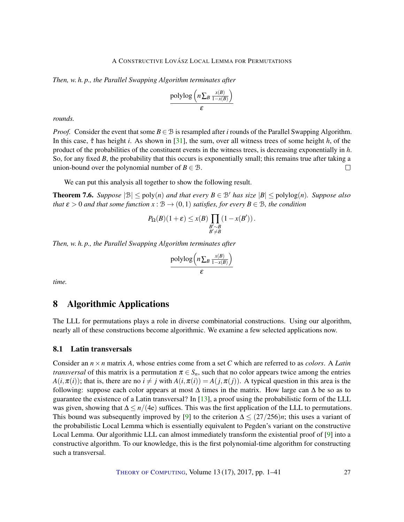<span id="page-26-2"></span>*Then, w. h. p., the Parallel Swapping Algorithm terminates after*

$$
\frac{\text{polylog}\left(n \sum_{B} \frac{x(B)}{1-x(B)}\right)}{\varepsilon}
$$

*rounds.*

*Proof.* Consider the event that some  $B \in \mathcal{B}$  is resampled after *i* rounds of the Parallel Swapping Algorithm. In this case, τˆ has height *i*. As shown in [\[31\]](#page-39-1), the sum, over all witness trees of some height *h*, of the product of the probabilities of the constituent events in the witness trees, is decreasing exponentially in *h*. So, for any fixed *B*, the probability that this occurs is exponentially small; this remains true after taking a union-bound over the polynomial number of  $B \in \mathcal{B}$ .  $\Box$ 

We can put this analysis all together to show the following result.

<span id="page-26-1"></span>**Theorem 7.6.** *Suppose*  $|\mathcal{B}| \le \text{poly}(n)$  *and that every*  $B \in \mathcal{B}'$  *has size*  $|B| \le \text{polylog}(n)$ *. Suppose also that*  $\varepsilon > 0$  *and that some function*  $x : B \to (0,1)$  *satisfies, for every*  $B \in B$ *, the condition* 

$$
P_{\Omega}(B)(1+\varepsilon) \leq x(B) \prod_{\substack{B' \sim B \\ B' \neq B}} (1 - x(B')).
$$

*Then, w. h. p., the Parallel Swapping Algorithm terminates after*

$$
\frac{\text{polylog}\left(n \sum_{B} \frac{x(B)}{1-x(B)}\right)}{\varepsilon}
$$

*time.*

## <span id="page-26-0"></span>8 Algorithmic Applications

The LLL for permutations plays a role in diverse combinatorial constructions. Using our algorithm, nearly all of these constructions become algorithmic. We examine a few selected applications now.

#### 8.1 Latin transversals

Consider an *n*×*n* matrix *A*, whose entries come from a set *C* which are referred to as *colors*. A *Latin transversal* of this matrix is a permutation  $\pi \in S_n$ , such that no color appears twice among the entries  $A(i, \pi(i))$ ; that is, there are no  $i \neq j$  with  $A(i, \pi(i)) = A(j, \pi(j))$ . A typical question in this area is the following: suppose each color appears at most  $\Delta$  times in the matrix. How large can  $\Delta$  be so as to guarantee the existence of a Latin transversal? In [\[13\]](#page-37-0), a proof using the probabilistic form of the LLL was given, showing that  $\Delta \le n/(4e)$  suffices. This was the first application of the LLL to permutations. This bound was subsequently improved by [\[9\]](#page-37-1) to the criterion  $\Delta \leq (27/256)n$ ; this uses a variant of the probabilistic Local Lemma which is essentially equivalent to Pegden's variant on the constructive Local Lemma. Our algorithmic LLL can almost immediately transform the existential proof of [\[9\]](#page-37-1) into a constructive algorithm. To our knowledge, this is the first polynomial-time algorithm for constructing such a transversal.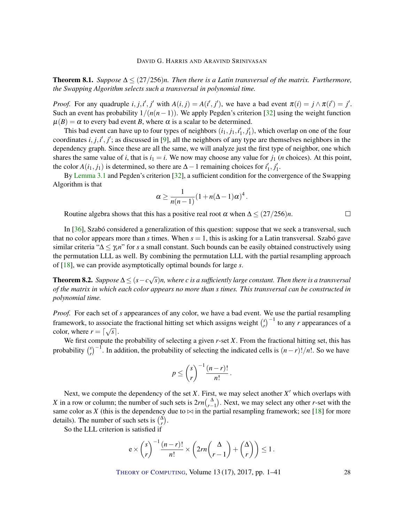<span id="page-27-1"></span>Theorem 8.1. *Suppose*  $\Delta$  ≤ (27/256)*n.* Then there is a Latin transversal of the matrix. Furthermore, *the Swapping Algorithm selects such a transversal in polynomial time.*

*Proof.* For any quadruple  $i, j, i', j'$  with  $A(i, j) = A(i', j')$ , we have a bad event  $\pi(i) = j \wedge \pi(i') = j'$ . Such an event has probability  $1/(n(n-1))$ . We apply Pegden's criterion [\[32\]](#page-39-2) using the weight function  $\mu(B) = \alpha$  to every bad event *B*, where  $\alpha$  is a scalar to be determined.

This bad event can have up to four types of neighbors  $(i_1, j_1, i'_1, j'_1)$ , which overlap on one of the four coordinates  $i, j, i', j'$ ; as discussed in [\[9\]](#page-37-1), all the neighbors of any type are themselves neighbors in the dependency graph. Since these are all the same, we will analyze just the first type of neighbor, one which shares the same value of *i*, that is  $i_1 = i$ . We now may choose any value for  $j_1$  (*n* choices). At this point, the color  $A(i_1, j_1)$  is determined, so there are  $\Delta - 1$  remaining choices for  $i'_1, j'_1$ .

By [Lemma](#page-6-0) [3.1](#page-6-0) and Pegden's criterion [\[32\]](#page-39-2), a sufficient condition for the convergence of the Swapping Algorithm is that

$$
\alpha \geq \frac{1}{n(n-1)}(1+n(\Delta-1)\alpha)^4.
$$

Routine algebra shows that this has a positive real root  $\alpha$  when  $\Delta \leq (27/256)n$ .

In [\[36\]](#page-39-5), Szabó considered a generalization of this question: suppose that we seek a transversal, such that no color appears more than *s* times. When  $s = 1$ , this is asking for a Latin transversal. Szabó gave similar criteria "∆ ≤ γ*sn*" for *s* a small constant. Such bounds can be easily obtained constructively using the permutation LLL as well. By combining the permutation LLL with the partial resampling approach of [\[18\]](#page-38-2), we can provide asymptotically optimal bounds for large *s*.

<span id="page-27-0"></span>**Theorem 8.2.** *Suppose*  $\Delta \leq (s - c \sqrt{c})$ *s*)*n, where c is a sufficiently large constant. Then there is a transversal of the matrix in which each color appears no more than s times. This transversal can be constructed in polynomial time.*

*Proof.* For each set of *s* appearances of any color, we have a bad event. We use the partial resampling framework, to associate the fractional hitting set which assigns weight  $\binom{s}{r}$ ociate the fractional hitting set which assigns weight  $\binom{s}{r}^{-1}$  to any *r* appearances of a color, where  $r = \lceil \sqrt{s} \rceil$ .

We first compute the probability of selecting a given *r*-set *X*. From the fractional hitting set, this has probability *s*  $\binom{s}{r}$ <sup>-1</sup>. In addition, the probability of selecting the indicated cells is  $(n-r)!/n!$ . So we have

$$
p \leq {s \choose r}^{-1} \frac{(n-r)!}{n!}
$$

.

Next, we compute the dependency of the set  $X$ . First, we may select another  $X'$  which overlaps with *X* in a row or column; the number of such sets is  $2rn(\bigwedge_{r=1}^{A})$ . Next, we may select any other *r*-set with the same color as *X* (this is the dependency due to  $\bowtie$  in the partial resampling framework; see [\[18\]](#page-38-2) for more details). The number of such sets is  $\binom{\Delta}{r}$ .

So the LLL criterion is satisfied if

$$
e \times {s \choose r}^{-1} \frac{(n-r)!}{n!} \times \left(2rn {\Delta \choose r-1} + {\Delta \choose r} \right) \le 1.
$$

THEORY OF C[OMPUTING](http://dx.doi.org/10.4086/toc), Volume 13 (17), 2017, pp. 1–41 28

 $\Box$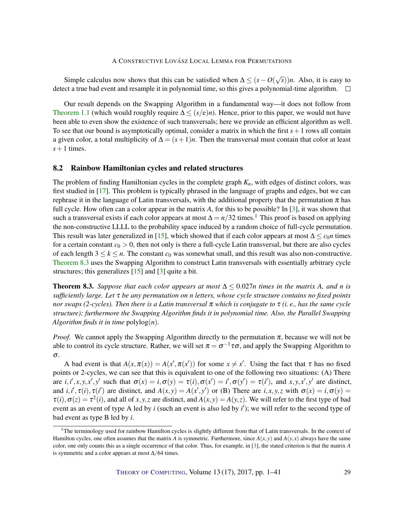<span id="page-28-1"></span>Simple calculus now shows that this can be satisfied when  $\Delta \le (s - O(\sqrt{\epsilon}))$ *s*))*n*. Also, it is easy to detect a true bad event and resample it in polynomial time, so this gives a polynomial-time algorithm.  $\square$ 

Our result depends on the Swapping Algorithm in a fundamental way—it does not follow from [Theorem](#page-2-0) [1.1](#page-2-0) (which would roughly require ∆ ≤ (*s*/e)*n*). Hence, prior to this paper, we would not have been able to even show the existence of such transversals; here we provide an efficient algorithm as well. To see that our bound is asymptotically optimal, consider a matrix in which the first  $s + 1$  rows all contain a given color, a total multiplicity of  $\Delta = (s+1)n$ . Then the transversal must contain that color at least  $s+1$  times.

#### 8.2 Rainbow Hamiltonian cycles and related structures

The problem of finding Hamiltonian cycles in the complete graph *Kn*, with edges of distinct colors, was first studied in [\[17\]](#page-38-11). This problem is typically phrased in the language of graphs and edges, but we can rephrase it in the language of Latin transversals, with the additional property that the permutation  $\pi$  has full cycle. How often can a color appear in the matrix *A*, for this to be possible? In [\[3\]](#page-37-11), it was shown that such a transversal exists if each color appears at most  $\Delta = n/32$  times.<sup>1</sup> This proof is based on applying the non-constructive LLLL to the probability space induced by a random choice of full-cycle permutation. This result was later generalized in [\[15\]](#page-38-12), which showed that if each color appears at most  $\Delta \leq c_0 n$  times for a certain constant  $c_0 > 0$ , then not only is there a full-cycle Latin transversal, but there are also cycles of each length  $3 \leq k \leq n$ . The constant  $c_0$  was somewhat small, and this result was also non-constructive. [Theorem](#page-28-0) [8.3](#page-28-0) uses the Swapping Algorithm to construct Latin transversals with essentially arbitrary cycle structures; this generalizes [\[15\]](#page-38-12) and [\[3\]](#page-37-11) quite a bit.

<span id="page-28-0"></span>**Theorem 8.3.** Suppose that each color appears at most  $\Delta \leq 0.027n$  times in the matrix A, and n is *sufficiently large. Let* τ *be any permutation on n letters, whose cycle structure contains no fixed points nor swaps (2-cycles). Then there is a Latin transversal* π *which is conjugate to* τ *(i. e., has the same cycle structure); furthermore the Swapping Algorithm finds it in polynomial time. Also, the Parallel Swapping Algorithm finds it in time*  $polylog(n)$ *.* 

*Proof.* We cannot apply the Swapping Algorithm directly to the permutation  $\pi$ , because we will not be able to control its cycle structure. Rather, we will set  $\pi = \sigma^{-1} \tau \sigma$ , and apply the Swapping Algorithm to σ.

A bad event is that  $A(x, \pi(x)) = A(x', \pi(x'))$  for some  $x \neq x'$ . Using the fact that  $\tau$  has no fixed points or 2-cycles, we can see that this is equivalent to one of the following two situations: (A) There are  $i, i', x, y, x', y'$  such that  $\sigma(x) = i, \sigma(y) = \tau(i), \sigma(x') = i', \sigma(y') = \tau(i')$ , and  $x, y, x', y'$  are distinct, and  $i, i', \tau(i), \tau(i')$  are distinct, and  $A(x, y) = A(x', y')$  or (B) There are  $i, x, y, z$  with  $\sigma(x) = i, \sigma(y) = i$  $\tau(i), \sigma(z) = \tau^2(i)$ , and all of *x*, *y*, *z* are distinct, and  $A(x, y) = A(y, z)$ . We will refer to the first type of bad event as an event of type A led by *i* (such an event is also led by *i*'); we will refer to the second type of bad event as type B led by *i*.

<sup>&</sup>lt;sup>1</sup>The terminology used for rainbow Hamilton cycles is slightly different from that of Latin transversals. In the context of Hamilton cycles, one often assumes that the matrix *A* is symmetric. Furthermore, since  $A(x, y)$  and  $A(y, x)$  always have the same color, one only counts this as a single occurrence of that color. Thus, for example, in [\[3\]](#page-37-11), the stated criterion is that the matrix *A* is symmetric and a color appears at most  $\Delta/64$  times.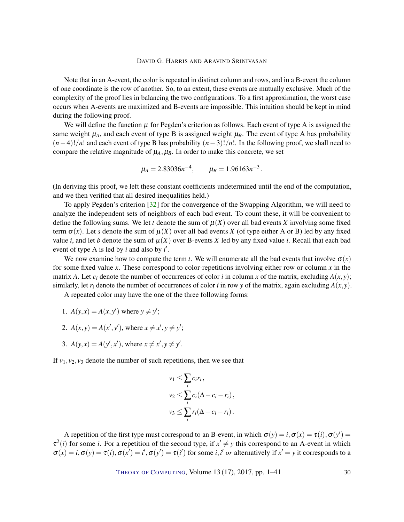<span id="page-29-0"></span>Note that in an A-event, the color is repeated in distinct column and rows, and in a B-event the column of one coordinate is the row of another. So, to an extent, these events are mutually exclusive. Much of the complexity of the proof lies in balancing the two configurations. To a first approximation, the worst case occurs when A-events are maximized and B-events are impossible. This intuition should be kept in mind during the following proof.

We will define the function  $\mu$  for Pegden's criterion as follows. Each event of type A is assigned the same weight  $\mu_A$ , and each event of type B is assigned weight  $\mu_B$ . The event of type A has probability (*n*−4)!/*n*! and each event of type B has probability (*n*−3)!/*n*!. In the following proof, we shall need to compare the relative magnitude of  $\mu_A$ ,  $\mu_B$ . In order to make this concrete, we set

$$
\mu_A = 2.83036n^{-4}, \qquad \mu_B = 1.96163n^{-3}.
$$

(In deriving this proof, we left these constant coefficients undetermined until the end of the computation, and we then verified that all desired inequalities held.)

To apply Pegden's criterion [\[32\]](#page-39-2) for the convergence of the Swapping Algorithm, we will need to analyze the independent sets of neighbors of each bad event. To count these, it will be convenient to define the following sums. We let *t* denote the sum of  $\mu(X)$  over all bad events X involving some fixed term  $\sigma(x)$ . Let *s* denote the sum of  $\mu(X)$  over all bad events *X* (of type either A or B) led by any fixed value *i*, and let *b* denote the sum of  $\mu(X)$  over B-events *X* led by any fixed value *i*. Recall that each bad event of type A is led by  $i$  and also by  $i'$ .

We now examine how to compute the term *t*. We will enumerate all the bad events that involve  $\sigma(x)$ for some fixed value *x*. These correspond to color-repetitions involving either row or column *x* in the matrix *A*. Let  $c_i$  denote the number of occurrences of color *i* in column *x* of the matrix, excluding  $A(x, y)$ ; similarly, let  $r_i$  denote the number of occurrences of color *i* in row *y* of the matrix, again excluding  $A(x, y)$ .

A repeated color may have the one of the three following forms:

- 1.  $A(y,x) = A(x, y')$  where  $y \neq y'$ ;
- 2.  $A(x, y) = A(x', y')$ , where  $x \neq x', y \neq y'$ ;
- 3.  $A(y,x) = A(y',x')$ , where  $x \neq x', y \neq y'$ .

If  $v_1, v_2, v_3$  denote the number of such repetitions, then we see that

$$
v_1 \leq \sum_i c_i r_i,
$$
  
\n
$$
v_2 \leq \sum_i c_i (\Delta - c_i - r_i),
$$
  
\n
$$
v_3 \leq \sum_i r_i (\Delta - c_i - r_i).
$$

A repetition of the first type must correspond to an B-event, in which  $\sigma(y) = i, \sigma(x) = \tau(i), \sigma(y') = i$  $\tau^2(i)$  for some *i*. For a repetition of the second type, if  $x' \neq y$  this correspond to an A-event in which  $\sigma(x) = i$ ,  $\sigma(y) = \tau(i)$ ,  $\sigma(x') = i'$ ,  $\sigma(y') = \tau(i')$  for some *i*, *i' or* alternatively if  $x' = y$  it corresponds to a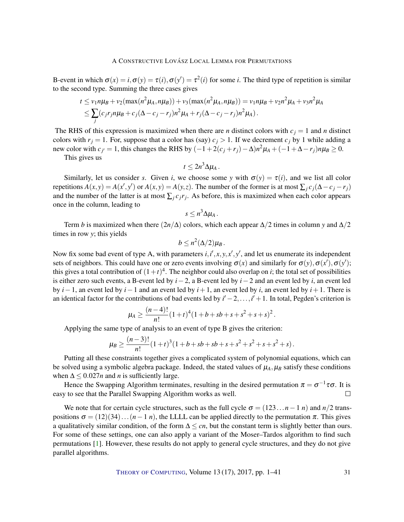<span id="page-30-0"></span>B-event in which  $\sigma(x) = i$ ,  $\sigma(y) = \tau(i)$ ,  $\sigma(y') = \tau^2(i)$  for some *i*. The third type of repetition is similar to the second type. Summing the three cases gives

$$
t \le v_1 n \mu_B + v_2(\max(n^2 \mu_A, n \mu_B)) + v_3(\max(n^2 \mu_A, n \mu_B)) = v_1 n \mu_B + v_2 n^2 \mu_A + v_3 n^2 \mu_A
$$
  

$$
\le \sum_j (c_j r_j n \mu_B + c_j (\Delta - c_j - r_j) n^2 \mu_A + r_j (\Delta - c_j - r_j) n^2 \mu_A).
$$

The RHS of this expression is maximized when there are *n* distinct colors with  $c_j = 1$  and *n* distinct colors with  $r_j = 1$ . For, suppose that a color has (say)  $c_j > 1$ . If we decrement  $c_j$  by 1 while adding a new color with  $c_j = 1$ , this changes the RHS by  $(-1+2(c_j+r_j)-\Delta)n^2\mu_A+(-1+\Delta-r_j)n\mu_B \ge 0$ .

This gives us

$$
t\leq 2n^3\Delta\mu_A.
$$

Similarly, let us consider *s*. Given *i*, we choose some *y* with  $\sigma(y) = \tau(i)$ , and we list all color repetitions  $A(x, y) = A(x', y')$  or  $A(x, y) = A(y, z)$ . The number of the former is at most  $\sum_j c_j (\Delta - c_j - r_j)$ and the number of the latter is at most  $\sum_j c_j r_j$ . As before, this is maximized when each color appears once in the column, leading to

$$
s\leq n^3\Delta\mu_A\,.
$$

Term *b* is maximized when there  $(2n/\Delta)$  colors, which each appear  $\Delta/2$  times in column *y* and  $\Delta/2$ times in row *y*; this yields

$$
b\leq n^2(\Delta/2)\mu_B.
$$

Now fix some bad event of type A, with parameters  $i, i', x, y, x', y'$ , and let us enumerate its independent sets of neighbors. This could have one or zero events involving  $\sigma(x)$  and similarly for  $\sigma(y)$ ,  $\sigma(x')$ ,  $\sigma(y')$ ; this gives a total contribution of  $(1+t)^4$ . The neighbor could also overlap on *i*; the total set of possibilities is either zero such events, a B-event led by *i*−2, a B-event led by *i*−2 and an event led by *i*, an event led by *i*−1, an event led by *i*−1 and an event led by *i*+1, an event led by *i*, an event led by *i*+1. There is an identical factor for the contributions of bad events led by  $i' - 2, \ldots, i' + 1$ . In total, Pegden's criterion is

$$
\mu_A \geq \frac{(n-4)!}{n!} (1+t)^4 (1+b+sb+s+s^2+s+s)^2.
$$

Applying the same type of analysis to an event of type B gives the criterion:

$$
\mu_B \geq \frac{(n-3)!}{n!} (1+t)^3 (1+b+sb+sb+s+s^2+s^2+s+s^2+s).
$$

Putting all these constraints together gives a complicated system of polynomial equations, which can be solved using a symbolic algebra package. Indeed, the stated values of  $\mu_A$ ,  $\mu_B$  satisfy these conditions when  $\Delta \leq 0.027n$  and *n* is sufficiently large.

Hence the Swapping Algorithm terminates, resulting in the desired permutation  $\pi = \sigma^{-1}\tau\sigma$ . It is easy to see that the Parallel Swapping Algorithm works as well.  $\Box$ 

We note that for certain cycle structures, such as the full cycle  $\sigma = (123...n-1 n)$  and  $n/2$  transpositions  $\sigma = (12)(34)...(n-1 n)$ , the LLLL can be applied directly to the permutation  $\pi$ . This gives a qualitatively similar condition, of the form  $\Delta \leq cn$ , but the constant term is slightly better than ours. For some of these settings, one can also apply a variant of the Moser–Tardos algorithm to find such permutations [\[1\]](#page-37-3). However, these results do not apply to general cycle structures, and they do not give parallel algorithms.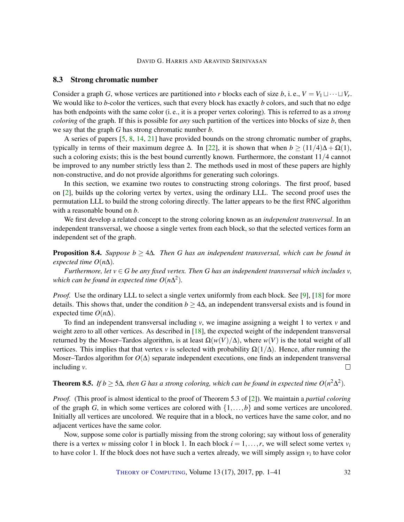#### <span id="page-31-1"></span>8.3 Strong chromatic number

Consider a graph *G*, whose vertices are partitioned into *r* blocks each of size *b*, i.e.,  $V = V_1 \sqcup \cdots \sqcup V_r$ . We would like to *b*-color the vertices, such that every block has exactly *b* colors, and such that no edge has both endpoints with the same color (i. e., it is a proper vertex coloring). This is referred to as a *strong coloring* of the graph. If this is possible for *any* such partition of the vertices into blocks of size *b*, then we say that the graph *G* has strong chromatic number *b*.

A series of papers [\[5,](#page-37-6) [8,](#page-37-7) [14,](#page-38-8) [21\]](#page-38-9) have provided bounds on the strong chromatic number of graphs, typically in terms of their maximum degree  $\Delta$ . In [\[22\]](#page-38-10), it is shown that when  $b \ge (11/4)\Delta + \Omega(1)$ , such a coloring exists; this is the best bound currently known. Furthermore, the constant  $11/4$  cannot be improved to any number strictly less than 2. The methods used in most of these papers are highly non-constructive, and do not provide algorithms for generating such colorings.

In this section, we examine two routes to constructing strong colorings. The first proof, based on [\[2\]](#page-37-12), builds up the coloring vertex by vertex, using the ordinary LLL. The second proof uses the permutation LLL to build the strong coloring directly. The latter appears to be the first RNC algorithm with a reasonable bound on *b*.

We first develop a related concept to the strong coloring known as an *independent transversal*. In an independent transversal, we choose a single vertex from each block, so that the selected vertices form an independent set of the graph.

<span id="page-31-0"></span>Proposition 8.4. *Suppose b* ≥ 4∆*. Then G has an independent transversal, which can be found in expected time*  $O(n\Delta)$ *.* 

*Furthermore, let*  $v \in G$  *be any fixed vertex. Then* G *has an independent transversal which includes*  $v$ , which can be found in expected time  $O(n\Delta^2)$ .

*Proof.* Use the ordinary LLL to select a single vertex uniformly from each block. See [\[9\]](#page-37-1), [\[18\]](#page-38-2) for more details. This shows that, under the condition  $b \ge 4\Delta$ , an independent transversal exists and is found in expected time  $O(n\Delta)$ .

To find an independent transversal including  $v$ , we imagine assigning a weight 1 to vertex  $v$  and weight zero to all other vertices. As described in  $[18]$ , the expected weight of the independent transversal returned by the Moser–Tardos algorithm, is at least  $\Omega(w(V)/\Delta)$ , where  $w(V)$  is the total weight of all vertices. This implies that that vertex *v* is selected with probability  $\Omega(1/\Delta)$ . Hence, after running the Moser–Tardos algorithm for  $O(\Delta)$  separate independent executions, one finds an independent transversal including *v*.  $\Box$ 

**Theorem 8.5.** *If b*  $\geq$  5 $\Delta$ *, then G has a strong coloring, which can be found in expected time O*( $n^2\Delta^2$ ).

*Proof.* (This proof is almost identical to the proof of Theorem 5.3 of [\[2\]](#page-37-12)). We maintain a *partial coloring* of the graph *G*, in which some vertices are colored with  $\{1, \ldots, b\}$  and some vertices are uncolored. Initially all vertices are uncolored. We require that in a block, no vertices have the same color, and no adjacent vertices have the same color.

Now, suppose some color is partially missing from the strong coloring; say without loss of generality there is a vertex *w* missing color 1 in block 1. In each block  $i = 1, \ldots, r$ , we will select some vertex  $v_i$ to have color 1. If the block does not have such a vertex already, we will simply assign *v<sup>i</sup>* to have color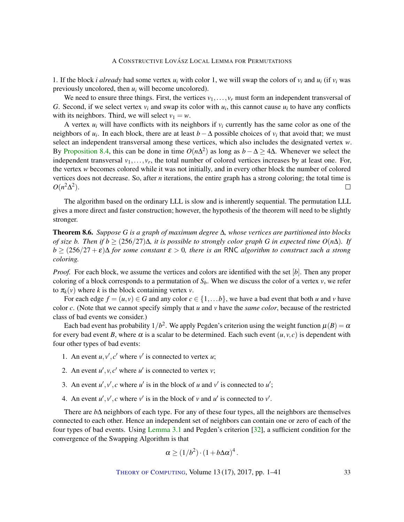<span id="page-32-0"></span>1. If the block *i* already had some vertex  $u_i$  with color 1, we will swap the colors of  $v_i$  and  $u_i$  (if  $v_i$  was previously uncolored, then *u<sup>i</sup>* will become uncolored).

We need to ensure three things. First, the vertices  $v_1, \ldots, v_r$  must form an independent transversal of *G*. Second, if we select vertex  $v_i$  and swap its color with  $u_i$ , this cannot cause  $u_i$  to have any conflicts with its neighbors. Third, we will select  $v_1 = w$ .

A vertex  $u_i$  will have conflicts with its neighbors if  $v_i$  currently has the same color as one of the neighbors of  $u_i$ . In each block, there are at least  $b - \Delta$  possible choices of  $v_i$  that avoid that; we must select an independent transversal among these vertices, which also includes the designated vertex *w*. By [Proposition](#page-31-0) [8.4,](#page-31-0) this can be done in time  $O(n\Delta^2)$  as long as  $b - \Delta \ge 4\Delta$ . Whenever we select the independent transversal  $v_1, \ldots, v_r$ , the total number of colored vertices increases by at least one. For, the vertex *w* becomes colored while it was not initially, and in every other block the number of colored vertices does not decrease. So, after *n* iterations, the entire graph has a strong coloring; the total time is  $O(n^2\Delta^2)$ .  $\Box$ 

The algorithm based on the ordinary LLL is slow and is inherently sequential. The permutation LLL gives a more direct and faster construction; however, the hypothesis of the theorem will need to be slightly stronger.

Theorem 8.6. *Suppose G is a graph of maximum degree* ∆*, whose vertices are partitioned into blocks of size b. Then if b* ≥ (256/27)∆*, it is possible to strongly color graph G in expected time O*(*n*∆)*. If*  $b \ge (256/27 + \varepsilon)\Delta$  *for some constant*  $\varepsilon > 0$ , *there is an* RNC *algorithm to construct such a strong coloring.*

*Proof.* For each block, we assume the vertices and colors are identified with the set [b]. Then any proper coloring of a block corresponds to a permutation of  $S_b$ . When we discuss the color of a vertex  $v$ , we refer to  $\pi_k(v)$  where *k* is the block containing vertex *v*.

For each edge  $f = (u, v) \in G$  and any color  $c \in \{1, \ldots b\}$ , we have a bad event that both *u* and *v* have color *c*. (Note that we cannot specify simply that *u* and *v* have the *same color*, because of the restricted class of bad events we consider.)

Each bad event has probability  $1/b^2$ . We apply Pegden's criterion using the weight function  $\mu(B) = \alpha$ for every bad event *B*, where  $\alpha$  is a scalar to be determined. Each such event  $(u, v, c)$  is dependent with four other types of bad events:

- 1. An event  $u, v', c'$  where  $v'$  is connected to vertex  $u$ ;
- 2. An event  $u'$ ,  $v$ ,  $c'$  where  $u'$  is connected to vertex *v*;
- 3. An event  $u'$ ,  $v'$ ,  $c$  where  $u'$  is in the block of  $u$  and  $v'$  is connected to  $u'$ ;
- 4. An event  $u'$ ,  $v'$ ,  $c$  where  $v'$  is in the block of  $v$  and  $u'$  is connected to  $v'$ .

There are *b*∆ neighbors of each type. For any of these four types, all the neighbors are themselves connected to each other. Hence an independent set of neighbors can contain one or zero of each of the four types of bad events. Using [Lemma](#page-6-0) [3.1](#page-6-0) and Pegden's criterion [\[32\]](#page-39-2), a sufficient condition for the convergence of the Swapping Algorithm is that

$$
\alpha \ge (1/b^2) \cdot (1 + b\Delta\alpha)^4.
$$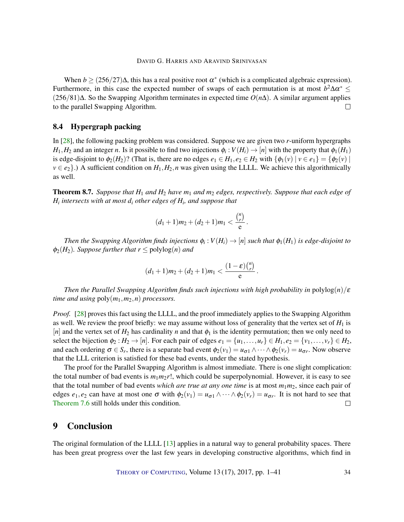<span id="page-33-1"></span>When  $b \ge (256/27)\Delta$ , this has a real positive root  $\alpha^*$  (which is a complicated algebraic expression). Furthermore, in this case the expected number of swaps of each permutation is at most  $b^2 \Delta a^* \leq$ (256/81)∆. So the Swapping Algorithm terminates in expected time *O*(*n*∆). A similar argument applies to the parallel Swapping Algorithm.  $\Box$ 

#### 8.4 Hypergraph packing

In [\[28\]](#page-39-6), the following packing problem was considered. Suppose we are given two *r*-uniform hypergraphs *H*<sub>1</sub>, *H*<sub>2</sub> and an integer *n*. Is it possible to find two injections  $\phi_i : V(H_i) \to [n]$  with the property that  $\phi_1(H_1)$ is edge-disjoint to  $\phi_2(H_2)$ ? (That is, there are no edges  $e_1 \in H_1, e_2 \in H_2$  with  $\{\phi_1(v) \mid v \in e_1\} = \{\phi_2(v) \mid v \in e_2\}$  $v \in e_2$ .) A sufficient condition on  $H_1, H_2, n$  was given using the LLLL. We achieve this algorithmically as well.

Theorem 8.7. *Suppose that H*<sup>1</sup> *and H*<sup>2</sup> *have m*<sup>1</sup> *and m*<sup>2</sup> *edges, respectively. Suppose that each edge of Hi intersects with at most d<sup>i</sup> other edges of H<sup>i</sup> , and suppose that*

$$
(d_1+1)m_2+(d_2+1)m_1<\frac{\binom{n}{r}}{e}.
$$

*Then the Swapping Algorithm finds injections*  $\phi_i: V(H_i) \to [n]$  *such that*  $\phi_1(H_1)$  *is edge-disjoint to*  $\phi_2(H_2)$ *. Suppose further that r*  $\leq$  polylog(*n*) *and* 

$$
(d_1+1)m_2+(d_2+1)m_1<\frac{(1-\varepsilon)\binom{n}{r}}{e}
$$

.

*Then the Parallel Swapping Algorithm finds such injections with high probability in* polylog $(n)/\varepsilon$ *time and using* poly(*m*1,*m*2,*n*) *processors.*

*Proof.* [\[28\]](#page-39-6) proves this fact using the LLLL, and the proof immediately applies to the Swapping Algorithm as well. We review the proof briefly: we may assume without loss of generality that the vertex set of  $H_1$  is [*n*] and the vertex set of  $H_2$  has cardinality *n* and that  $\phi_1$  is the identity permutation; then we only need to select the bijection  $\phi_2 : H_2 \to [n]$ . For each pair of edges  $e_1 = \{u_1, \ldots, u_r\} \in H_1, e_2 = \{v_1, \ldots, v_r\} \in H_2$ , and each ordering  $\sigma \in S_r$ , there is a separate bad event  $\phi_2(v_1) = u_{\sigma 1} \wedge \cdots \wedge \phi_2(v_r) = u_{\sigma r}$ . Now observe that the LLL criterion is satisfied for these bad events, under the stated hypothesis.

The proof for the Parallel Swapping Algorithm is almost immediate. There is one slight complication: the total number of bad events is  $m_1m_2r!$ , which could be superpolynomial. However, it is easy to see that the total number of bad events *which are true at any one time* is at most  $m_1m_2$ , since each pair of edges  $e_1, e_2$  can have at most one  $\sigma$  with  $\phi_2(v_1) = u_{\sigma 1} \wedge \cdots \wedge \phi_2(v_r) = u_{\sigma r}$ . It is not hard to see that [Theorem](#page-26-1) [7.6](#page-26-1) still holds under this condition.  $\Box$ 

## <span id="page-33-0"></span>9 Conclusion

The original formulation of the LLLL [\[13\]](#page-37-0) applies in a natural way to general probability spaces. There has been great progress over the last few years in developing constructive algorithms, which find in

THEORY OF C[OMPUTING](http://dx.doi.org/10.4086/toc), Volume 13 (17), 2017, pp. 1–41 34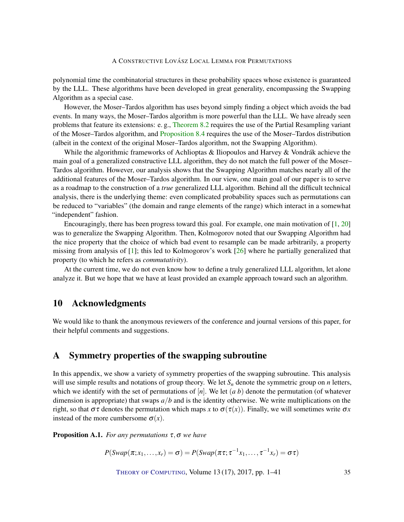<span id="page-34-2"></span>polynomial time the combinatorial structures in these probability spaces whose existence is guaranteed by the LLL. These algorithms have been developed in great generality, encompassing the Swapping Algorithm as a special case.

However, the Moser–Tardos algorithm has uses beyond simply finding a object which avoids the bad events. In many ways, the Moser–Tardos algorithm is more powerful than the LLL. We have already seen problems that feature its extensions: e. g., [Theorem](#page-27-0) [8.2](#page-27-0) requires the use of the Partial Resampling variant of the Moser–Tardos algorithm, and [Proposition](#page-31-0) [8.4](#page-31-0) requires the use of the Moser–Tardos distribution (albeit in the context of the original Moser–Tardos algorithm, not the Swapping Algorithm).

While the algorithmic frameworks of Achlioptas  $\&$  Iliopoulos and Harvey  $\&$  Vondrák achieve the main goal of a generalized constructive LLL algorithm, they do not match the full power of the Moser– Tardos algorithm. However, our analysis shows that the Swapping Algorithm matches nearly all of the additional features of the Moser–Tardos algorithm. In our view, one main goal of our paper is to serve as a roadmap to the construction of a *true* generalized LLL algorithm. Behind all the difficult technical analysis, there is the underlying theme: even complicated probability spaces such as permutations can be reduced to "variables" (the domain and range elements of the range) which interact in a somewhat "independent" fashion.

Encouragingly, there has been progress toward this goal. For example, one main motivation of  $[1, 20]$  $[1, 20]$  $[1, 20]$ was to generalize the Swapping Algorithm. Then, Kolmogorov noted that our Swapping Algorithm had the nice property that the choice of which bad event to resample can be made arbitrarily, a property missing from analysis of [\[1\]](#page-37-3); this led to Kolmogorov's work [\[26\]](#page-38-6) where he partially generalized that property (to which he refers as *commutativity*).

At the current time, we do not even know how to define a truly generalized LLL algorithm, let alone analyze it. But we hope that we have at least provided an example approach toward such an algorithm.

## 10 Acknowledgments

We would like to thank the anonymous reviewers of the conference and journal versions of this paper, for their helpful comments and suggestions.

## <span id="page-34-0"></span>A Symmetry properties of the swapping subroutine

In this appendix, we show a variety of symmetry properties of the swapping subroutine. This analysis will use simple results and notations of group theory. We let  $S_n$  denote the symmetric group on *n* letters, which we identify with the set of permutations of  $[n]$ . We let  $(a, b)$  denote the permutation (of whatever dimension is appropriate) that swaps *a*/*b* and is the identity otherwise. We write multiplications on the right, so that  $\sigma\tau$  denotes the permutation which maps *x* to  $\sigma(\tau(x))$ . Finally, we will sometimes write  $\sigma x$ instead of the more cumbersome  $\sigma(x)$ .

<span id="page-34-1"></span>Proposition A.1. *For any permutations* τ,σ *we have*

 $P(Swap(\pi; x_1,...,x_r) = \sigma) = P(Swap(\pi \tau; \tau^{-1}x_1,..., \tau^{-1}x_r) = \sigma \tau)$ 

THEORY OF C[OMPUTING](http://dx.doi.org/10.4086/toc), Volume 13 (17), 2017, pp. 1–41 35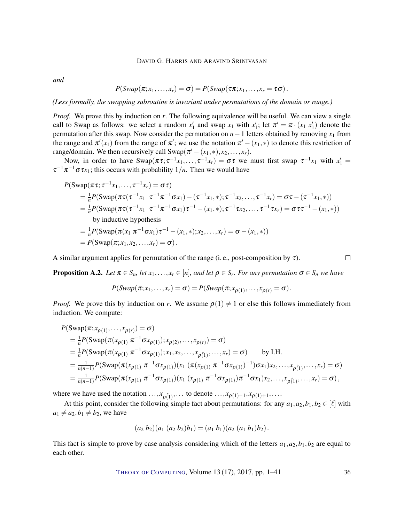*and*

$$
P(Swap(\pi;x_1,\ldots,x_r)=\sigma)=P(Swap(\tau\pi;x_1,\ldots,x_r=\tau\sigma).
$$

*(Less formally, the swapping subroutine is invariant under permutations of the domain or range.)*

*Proof.* We prove this by induction on *r*. The following equivalence will be useful. We can view a single call to Swap as follows: we select a random  $x'_1$  and swap  $x_1$  with  $x'_1$ ; let  $\pi' = \pi \cdot (x_1 \ x'_1)$  denote the permutation after this swap. Now consider the permutation on  $n-1$  letters obtained by removing  $x_1$  from the range and  $\pi'(x_1)$  from the range of  $\pi'$ ; we use the notation  $\pi' - (x_1, *)$  to denote this restriction of range/domain. We then recursively call  $\text{Swap}(\pi' - (x_1, *), x_2, \ldots, x_r)$ .

Now, in order to have  $\text{Swap}(\pi \tau; \tau^{-1} x_1, \ldots, \tau^{-1} x_r) = \sigma \tau$  we must first swap  $\tau^{-1} x_1$  with  $x_1' =$  $\tau^{-1}\pi^{-1}\sigma\tau x_1$ ; this occurs with probability  $1/n$ . Then we would have

$$
P(\text{Swap}(\pi \tau; \tau^{-1} x_1, ..., \tau^{-1} x_r) = \sigma \tau)
$$
  
\n
$$
= \frac{1}{n} P(\text{Swap}(\pi \tau (\tau^{-1} x_1 \ \tau^{-1} \pi^{-1} \sigma x_1) - (\tau^{-1} x_1, *); \tau^{-1} x_2, ..., \tau^{-1} x_r) = \sigma \tau - (\tau^{-1} x_1, *) )
$$
  
\n
$$
= \frac{1}{n} P(\text{Swap}(\pi \tau (\tau^{-1} x_1 \ \tau^{-1} \pi^{-1} \sigma x_1) \tau^{-1} - (x_1, *); \tau^{-1} x_2, ..., \tau^{-1} x_r) = \sigma \tau \tau^{-1} - (x_1, *) )
$$
  
\nby inductive hypothesis  
\n
$$
= \frac{1}{n} P(\text{Swap}(\pi (x_1 \ \pi^{-1} \sigma x_1) \tau^{-1} - (x_1, *); x_2, ..., x_r) = \sigma - (x_1, *) )
$$
  
\n
$$
= P(\text{Swap}(\pi; x_1, x_2, ..., x_r) = \sigma).
$$

A similar argument applies for permutation of the range (i. e., post-composition by  $\tau$ ).

 $\Box$ 

<span id="page-35-0"></span>**Proposition A.2.** Let  $\pi \in S_n$ , let  $x_1, \ldots, x_r \in [n]$ , and let  $\rho \in S_r$ . For any permutation  $\sigma \in S_n$  we have

$$
P(Swap(\pi;x_1,\ldots,x_r)=\sigma)=P(Swap(\pi;x_{\rho(1)},\ldots,x_{\rho(r)}=\sigma).
$$

*Proof.* We prove this by induction on *r*. We assume  $\rho(1) \neq 1$  or else this follows immediately from induction. We compute:

$$
P(\text{Swap}(\pi; x_{\rho(1)},...,x_{\rho(r)}) = \sigma)
$$
  
=  $\frac{1}{n}P(\text{Swap}(\pi(x_{\rho(1)} \pi^{-1} \sigma x_{\rho(1)}); x_{\rho(2)},...,x_{\rho(r)}) = \sigma)$   
=  $\frac{1}{n}P(\text{Swap}(\pi(x_{\rho(1)} \pi^{-1} \sigma x_{\rho(1)}); x_1, x_2,...,x_{\rho(1)},...,x_r) = \sigma)$  by I.H.  
=  $\frac{1}{n(n-1)}P(\text{Swap}(\pi(x_{\rho(1)} \pi^{-1} \sigma x_{\rho(1)}))(x_1 (\pi(x_{\rho(1)} \pi^{-1} \sigma x_{\rho(1)}))^{-1}) \sigma x_1)x_2,...,x_{\rho(1)},...,x_r) = \sigma)$   
=  $\frac{1}{n(n-1)}P(\text{Swap}(\pi(x_{\rho(1)} \pi^{-1} \sigma x_{\rho(1)}))(x_1 (x_{\rho(1)} \pi^{-1} \sigma x_{\rho(1)}))\pi^{-1} \sigma x_1)x_2,...,x_{\rho(1)},...,x_r) = \sigma),$ 

where we have used the notation  $\dots, x_{\rho(1)}, \dots$  to denote  $\dots, x_{\rho(1)-1}, x_{\rho(1)+1}, \dots$ 

At this point, consider the following simple fact about permutations: for any  $a_1, a_2, b_1, b_2 \in [\ell]$  with  $a_1 \neq a_2, b_1 \neq b_2$ , we have

$$
(a_2 b_2)(a_1 (a_2 b_2)b_1) = (a_1 b_1)(a_2 (a_1 b_1)b_2).
$$

This fact is simple to prove by case analysis considering which of the letters  $a_1, a_2, b_1, b_2$  are equal to each other.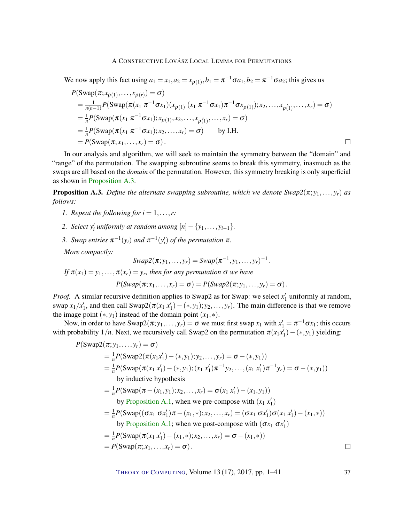We now apply this fact using  $a_1 = x_1$ ,  $a_2 = x_{\rho(1)}$ ,  $b_1 = \pi^{-1} \sigma a_1$ ,  $b_2 = \pi^{-1} \sigma a_2$ ; this gives us

$$
P(\text{Swap}(\pi; x_{\rho(1)}, ..., x_{\rho(r)}) = \sigma)
$$
  
=  $\frac{1}{n(n-1)}P(\text{Swap}(\pi(x_1 \pi^{-1} \sigma x_1)(x_{\rho(1)} (x_1 \pi^{-1} \sigma x_1) \pi^{-1} \sigma x_{\rho(1)}); x_2, ..., x_{\rho(1)}, ..., x_r) = \sigma)$   
=  $\frac{1}{n}P(\text{Swap}(\pi(x_1 \pi^{-1} \sigma x_1); x_{\rho(1)}, x_2, ..., x_{\rho(1)}, ..., x_r) = \sigma)$   
=  $\frac{1}{n}P(\text{Swap}(\pi(x_1 \pi^{-1} \sigma x_1); x_2, ..., x_r) = \sigma)$  by I.H.  
=  $P(\text{Swap}(\pi; x_1, ..., x_r) = \sigma)$ .

In our analysis and algorithm, we will seek to maintain the symmetry between the "domain" and "range" of the permutation. The swapping subroutine seems to break this symmetry, inasmuch as the swaps are all based on the *domain* of the permutation. However, this symmetry breaking is only superficial as shown in [Proposition](#page-36-0) [A.3.](#page-36-0)

<span id="page-36-0"></span>**Proposition A.3.** *Define the alternate swapping subroutine, which we denote*  $\text{Swap2}(\pi; y_1, \ldots, y_r)$  *as follows:*

- *1. Repeat the following for*  $i = 1, \ldots, r$ :
- 2. *Select*  $y'_i$  *uniformly at random among*  $[n] \{y_1, \ldots, y_{i-1}\}.$
- 3. *Swap entries*  $\pi^{-1}(y_i)$  *and*  $\pi^{-1}(y_i')$  *of the permutation*  $\pi$ *.*

*More compactly:*

$$
Swap2(\pi; y_1, \ldots, y_r) = Swap(\pi^{-1}, y_1, \ldots, y_r)^{-1}.
$$

*If*  $\pi(x_1) = y_1, \ldots, \pi(x_r) = y_r$ , then for any permutation  $\sigma$  *we have* 

$$
P(Swap(\pi;x_1,\ldots,x_r)=\sigma)=P(Swap2(\pi;y_1,\ldots,y_r)=\sigma).
$$

*Proof.* A similar recursive definition applies to Swap2 as for Swap: we select  $x'_1$  uniformly at random, swap  $x_1/x'_1$ , and then call  $\text{Swap2}(\pi(x_1 x'_1) - (*, y_1); y_2, \ldots, y_r)$ . The main difference is that we remove the image point  $(*, y_1)$  instead of the domain point  $(x_1, *)$ .

Now, in order to have  $\text{Swap2}(\pi; y_1, \ldots, y_r) = \sigma$  we must first swap  $x_1$  with  $x_1' = \pi^{-1} \sigma x_1$ ; this occurs with probability  $1/n$ . Next, we recursively call Swap2 on the permutation  $\pi(x_1x_1') - (*, y_1)$  yielding:

$$
P(\text{Swap2}(\pi; y_1, ..., y_r) = \sigma)
$$
  
=  $\frac{1}{n}P(\text{Swap2}(\pi(x_1x'_1) - (*, y_1); y_2, ..., y_r) = \sigma - (*, y_1))$   
=  $\frac{1}{n}P(\text{Swap}(\pi(x_1 x'_1) - (*, y_1); (x_1 x'_1) \pi^{-1} y_2, ..., (x_1 x'_1) \pi^{-1} y_r) = \sigma - (*, y_1))$   
by inductive hypothesis  
=  $\frac{1}{n}P(\text{Swap}(\pi - (x_1, y_1); x_2, ..., x_r) = \sigma(x_1 x'_1) - (x_1, y_1))$   
by Proposition A.1, when we pre-compose with  $(x_1 x'_1)$   
=  $\frac{1}{n}P(\text{Swap}((\sigma x_1 \sigma x'_1) \pi - (x_1, *); x_2, ..., x_r) = (\sigma x_1 \sigma x'_1) \sigma(x_1 x'_1) - (x_1, *))$   
by Proposition A.1; when we post-compose with  $(\sigma x_1 \sigma x'_1)$   
=  $\frac{1}{n}P(\text{Swap}(\pi(x_1 x'_1) - (x_1, *); x_2, ..., x_r) = \sigma - (x_1, *))$   
=  $P(\text{Swap}(\pi; x_1, ..., x_r) = \sigma)$ .

THEORY OF C[OMPUTING](http://dx.doi.org/10.4086/toc), Volume 13 (17), 2017, pp. 1–41 37

 $\Box$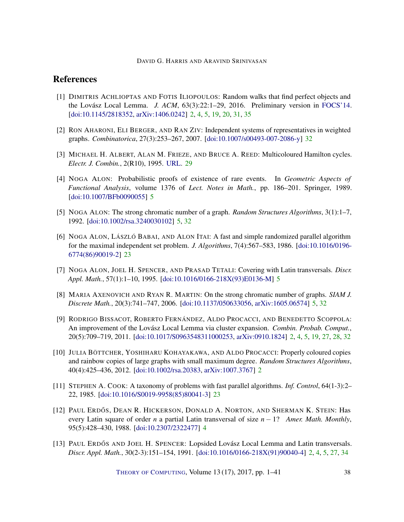## References

- <span id="page-37-3"></span>[1] DIMITRIS ACHLIOPTAS AND FOTIS ILIOPOULOS: Random walks that find perfect objects and the Lovász Local Lemma. *J. ACM*, 63(3):22:1–29, 2016. Preliminary version in [FOCS'14.](https://doi.org/10.1109/FOCS.2014.59) [\[doi:10.1145/2818352,](http://dx.doi.org/10.1145/2818352) [arXiv:1406.0242\]](http://arxiv.org/abs/1406.0242) [2,](#page-1-0) [4,](#page-3-1) [5,](#page-4-0) [19,](#page-18-1) [20,](#page-19-1) [31,](#page-30-0) [35](#page-34-2)
- <span id="page-37-12"></span>[2] RON AHARONI, ELI BERGER, AND RAN ZIV: Independent systems of representatives in weighted graphs. *Combinatorica*, 27(3):253–267, 2007. [\[doi:10.1007/s00493-007-2086-y\]](http://dx.doi.org/10.1007/s00493-007-2086-y) [32](#page-31-1)
- <span id="page-37-11"></span>[3] MICHAEL H. ALBERT, ALAN M. FRIEZE, AND BRUCE A. REED: Multicoloured Hamilton cycles. *Electr. J. Combin.*, 2(R10), 1995. [URL.](http://www.combinatorics.org/ojs/index.php/eljc/article/view/v2i1r10) [29](#page-28-1)
- <span id="page-37-5"></span>[4] NOGA ALON: Probabilistic proofs of existence of rare events. In *Geometric Aspects of Functional Analysis*, volume 1376 of *Lect. Notes in Math.*, pp. 186–201. Springer, 1989. [\[doi:10.1007/BFb0090055\]](http://dx.doi.org/10.1007/BFb0090055) [5](#page-4-0)
- <span id="page-37-6"></span>[5] NOGA ALON: The strong chromatic number of a graph. *Random Structures Algorithms*, 3(1):1–7, 1992. [\[doi:10.1002/rsa.3240030102\]](http://dx.doi.org/10.1002/rsa.3240030102) [5,](#page-4-0) [32](#page-31-1)
- <span id="page-37-9"></span>[6] NOGA ALON, LÁSZLÓ BABAI, AND ALON ITAI: A fast and simple randomized parallel algorithm for the maximal independent set problem. *J. Algorithms*, 7(4):567–583, 1986. [\[doi:10.1016/0196-](http://dx.doi.org/10.1016/0196-6774(86)90019-2) [6774\(86\)90019-2\]](http://dx.doi.org/10.1016/0196-6774(86)90019-2) [23](#page-22-0)
- <span id="page-37-8"></span>[7] NOGA ALON, JOEL H. SPENCER, AND PRASAD TETALI: Covering with Latin transversals. *Discr. Appl. Math.*, 57(1):1–10, 1995. [\[doi:10.1016/0166-218X\(93\)E0136-M\]](http://dx.doi.org/10.1016/0166-218X(93)E0136-M) [5](#page-4-0)
- <span id="page-37-7"></span>[8] MARIA AXENOVICH AND RYAN R. MARTIN: On the strong chromatic number of graphs. *SIAM J. Discrete Math.*, 20(3):741–747, 2006. [\[doi:10.1137/050633056,](http://dx.doi.org/10.1137/050633056) [arXiv:1605.06574\]](http://arxiv.org/abs/1605.06574) [5,](#page-4-0) [32](#page-31-1)
- <span id="page-37-1"></span>[9] RODRIGO BISSACOT, ROBERTO FERNÁNDEZ, ALDO PROCACCI, AND BENEDETTO SCOPPOLA: An improvement of the Lovász Local Lemma via cluster expansion. *Combin. Probab. Comput.*, 20(5):709–719, 2011. [\[doi:10.1017/S0963548311000253,](http://dx.doi.org/10.1017/S0963548311000253) [arXiv:0910.1824\]](http://arxiv.org/abs/0910.1824) [2,](#page-1-0) [4,](#page-3-1) [5,](#page-4-0) [19,](#page-18-1) [27,](#page-26-2) [28,](#page-27-1) [32](#page-31-1)
- <span id="page-37-2"></span>[10] JULIA BÖTTCHER, YOSHIHARU KOHAYAKAWA, AND ALDO PROCACCI: Properly coloured copies and rainbow copies of large graphs with small maximum degree. *Random Structures Algorithms*, 40(4):425–436, 2012. [\[doi:10.1002/rsa.20383,](http://dx.doi.org/10.1002/rsa.20383) [arXiv:1007.3767\]](http://arxiv.org/abs/1007.3767) [2](#page-1-0)
- <span id="page-37-10"></span>[11] STEPHEN A. COOK: A taxonomy of problems with fast parallel algorithms. *Inf. Control*, 64(1-3):2– 22, 1985. [\[doi:10.1016/S0019-9958\(85\)80041-3\]](http://dx.doi.org/10.1016/S0019-9958(85)80041-3) [23](#page-22-0)
- <span id="page-37-4"></span>[12] PAUL ERDŐS, DEAN R. HICKERSON, DONALD A. NORTON, AND SHERMAN K. STEIN: Has every Latin square of order *n* a partial Latin transversal of size *n* − 1? *Amer. Math. Monthly*, 95(5):428–430, 1988. [\[doi:10.2307/2322477\]](http://dx.doi.org/10.2307/2322477) [4](#page-3-1)
- <span id="page-37-0"></span>[13] PAUL ERDŐS AND JOEL H. SPENCER: Lopsided Lovász Local Lemma and Latin transversals. *Discr. Appl. Math.*, 30(2-3):151–154, 1991. [\[doi:10.1016/0166-218X\(91\)90040-4\]](http://dx.doi.org/10.1016/0166-218X(91)90040-4) [2,](#page-1-0) [4,](#page-3-1) [5,](#page-4-0) [27,](#page-26-2) [34](#page-33-1)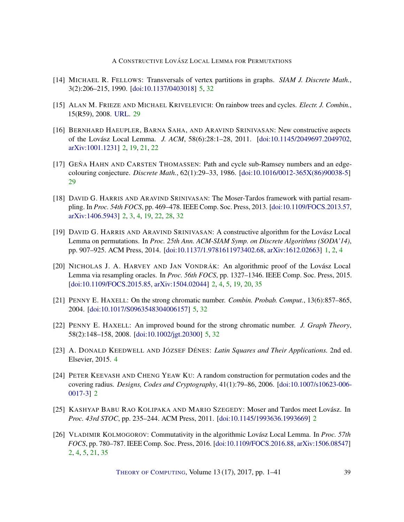- <span id="page-38-8"></span>[14] MICHAEL R. FELLOWS: Transversals of vertex partitions in graphs. *SIAM J. Discrete Math.*, 3(2):206–215, 1990. [\[doi:10.1137/0403018\]](http://dx.doi.org/10.1137/0403018) [5,](#page-4-0) [32](#page-31-1)
- <span id="page-38-12"></span>[15] ALAN M. FRIEZE AND MICHAEL KRIVELEVICH: On rainbow trees and cycles. *Electr. J. Combin.*, 15(R59), 2008. [URL.](http://www.combinatorics.org/ojs/index.php/eljc/article/view/v15i1r59) [29](#page-28-1)
- <span id="page-38-1"></span>[16] BERNHARD HAEUPLER, BARNA SAHA, AND ARAVIND SRINIVASAN: New constructive aspects of the Lovász Local Lemma. *J. ACM*, 58(6):28:1–28, 2011. [\[doi:10.1145/2049697.2049702,](http://dx.doi.org/10.1145/2049697.2049702) [arXiv:1001.1231\]](http://arxiv.org/abs/1001.1231) [2,](#page-1-0) [19,](#page-18-1) [21,](#page-20-0) [22](#page-21-1)
- <span id="page-38-11"></span>[17] GEŇA HAHN AND CARSTEN THOMASSEN: Path and cycle sub-Ramsey numbers and an edgecolouring conjecture. *Discrete Math.*, 62(1):29–33, 1986. [\[doi:10.1016/0012-365X\(86\)90038-5\]](http://dx.doi.org/10.1016/0012-365X(86)90038-5) [29](#page-28-1)
- <span id="page-38-2"></span>[18] DAVID G. HARRIS AND ARAVIND SRINIVASAN: The Moser-Tardos framework with partial resampling. In *Proc. 54th FOCS*, pp. 469–478. IEEE Comp. Soc. Press, 2013. [\[doi:10.1109/FOCS.2013.57,](http://dx.doi.org/10.1109/FOCS.2013.57) [arXiv:1406.5943\]](http://arxiv.org/abs/1406.5943) [2,](#page-1-0) [3,](#page-2-1) [4,](#page-3-1) [19,](#page-18-1) [22,](#page-21-1) [28,](#page-27-1) [32](#page-31-1)
- <span id="page-38-0"></span>[19] DAVID G. HARRIS AND ARAVIND SRINIVASAN: A constructive algorithm for the Lovász Local Lemma on permutations. In *Proc. 25th Ann. ACM-SIAM Symp. on Discrete Algorithms (SODA'14)*, pp. 907–925. ACM Press, 2014. [\[doi:10.1137/1.9781611973402.68,](http://dx.doi.org/10.1137/1.9781611973402.68) [arXiv:1612.02663\]](http://arxiv.org/abs/1612.02663) [1,](#page-0-0) [2,](#page-1-0) [4](#page-3-1)
- <span id="page-38-5"></span>[20] NICHOLAS J. A. HARVEY AND JAN VONDRÁK: An algorithmic proof of the Lovász Local Lemma via resampling oracles. In *Proc. 56th FOCS*, pp. 1327–1346. IEEE Comp. Soc. Press, 2015. [\[doi:10.1109/FOCS.2015.85,](http://dx.doi.org/10.1109/FOCS.2015.85) [arXiv:1504.02044\]](http://arxiv.org/abs/1504.02044) [2,](#page-1-0) [4,](#page-3-1) [5,](#page-4-0) [19,](#page-18-1) [20,](#page-19-1) [35](#page-34-2)
- <span id="page-38-9"></span>[21] PENNY E. HAXELL: On the strong chromatic number. *Combin. Probab. Comput.*, 13(6):857–865, 2004. [\[doi:10.1017/S0963548304006157\]](http://dx.doi.org/10.1017/S0963548304006157) [5,](#page-4-0) [32](#page-31-1)
- <span id="page-38-10"></span>[22] PENNY E. HAXELL: An improved bound for the strong chromatic number. *J. Graph Theory*, 58(2):148–158, 2008. [\[doi:10.1002/jgt.20300\]](http://dx.doi.org/10.1002/jgt.20300) [5,](#page-4-0) [32](#page-31-1)
- <span id="page-38-7"></span>[23] A. DONALD KEEDWELL AND JÓZSEF DÉNES: *Latin Squares and Their Applications.* 2nd ed. Elsevier, 2015. [4](#page-3-1)
- <span id="page-38-4"></span>[24] PETER KEEVASH AND CHENG YEAW KU: A random construction for permutation codes and the covering radius. *Designs, Codes and Cryptography*, 41(1):79–86, 2006. [\[doi:10.1007/s10623-006-](http://dx.doi.org/10.1007/s10623-006-0017-3) [0017-3\]](http://dx.doi.org/10.1007/s10623-006-0017-3) [2](#page-1-0)
- <span id="page-38-3"></span>[25] KASHYAP BABU RAO KOLIPAKA AND MARIO SZEGEDY: Moser and Tardos meet Lovász. In *Proc. 43rd STOC*, pp. 235–244. ACM Press, 2011. [\[doi:10.1145/1993636.1993669\]](http://dx.doi.org/10.1145/1993636.1993669) [2](#page-1-0)
- <span id="page-38-6"></span>[26] VLADIMIR KOLMOGOROV: Commutativity in the algorithmic Lovász Local Lemma. In *Proc. 57th FOCS*, pp. 780–787. IEEE Comp. Soc. Press, 2016. [\[doi:10.1109/FOCS.2016.88,](http://dx.doi.org/10.1109/FOCS.2016.88) [arXiv:1506.08547\]](http://arxiv.org/abs/1506.08547) [2,](#page-1-0) [4,](#page-3-1) [5,](#page-4-0) [21,](#page-20-0) [35](#page-34-2)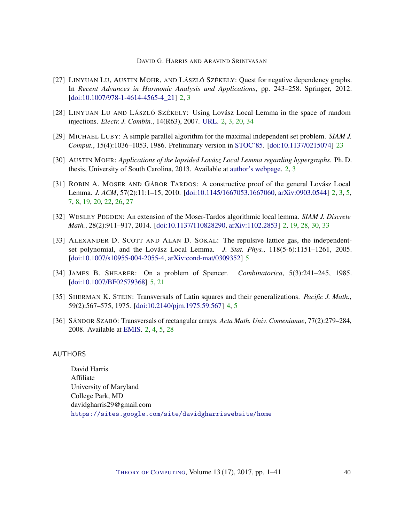- <span id="page-39-3"></span>[27] LINYUAN LU, AUSTIN MOHR, AND LÁSZLÓ SZÉKELY: Quest for negative dependency graphs. In *Recent Advances in Harmonic Analysis and Applications*, pp. 243–258. Springer, 2012. [\[doi:10.1007/978-1-4614-4565-4\\_21\]](http://dx.doi.org/10.1007/978-1-4614-4565-4_21) [2,](#page-1-0) [3](#page-2-1)
- <span id="page-39-6"></span>[28] LINYUAN LU AND LÁSZLÓ SZÉKELY: Using Lovász Local Lemma in the space of random injections. *Electr. J. Combin.*, 14(R63), 2007. [URL.](http://www.combinatorics.org/ojs/index.php/eljc/article/view/v14i1r63) [2,](#page-1-0) [3,](#page-2-1) [20,](#page-19-1) [34](#page-33-1)
- <span id="page-39-10"></span>[29] MICHAEL LUBY: A simple parallel algorithm for the maximal independent set problem. *SIAM J. Comput.*, 15(4):1036–1053, 1986. Preliminary version in [STOC'85.](http://dx.doi.org/10.1145/22145.22146) [\[doi:10.1137/0215074\]](http://dx.doi.org/10.1137/0215074) [23](#page-22-0)
- <span id="page-39-4"></span>[30] AUSTIN MOHR: *Applications of the lopsided Lovász Local Lemma regarding hypergraphs*. Ph. D. thesis, University of South Carolina, 2013. Available at [author's webpage.](http://www.austinmohr.com/Work_files/dissertation/dissertation.pdf) [2,](#page-1-0) [3](#page-2-1)
- <span id="page-39-1"></span>[31] ROBIN A. MOSER AND GÁBOR TARDOS: A constructive proof of the general Lovász Local Lemma. *J. ACM*, 57(2):11:1–15, 2010. [\[doi:10.1145/1667053.1667060,](http://dx.doi.org/10.1145/1667053.1667060) [arXiv:0903.0544\]](http://arxiv.org/abs/0903.0544) [2,](#page-1-0) [3,](#page-2-1) [5,](#page-4-0) [7,](#page-6-2) [8,](#page-7-1) [19,](#page-18-1) [20,](#page-19-1) [22,](#page-21-1) [26,](#page-25-0) [27](#page-26-2)
- <span id="page-39-2"></span>[32] WESLEY PEGDEN: An extension of the Moser-Tardos algorithmic local lemma. *SIAM J. Discrete Math.*, 28(2):911–917, 2014. [\[doi:10.1137/110828290,](http://dx.doi.org/10.1137/110828290) [arXiv:1102.2853\]](http://arxiv.org/abs/1102.2853) [2,](#page-1-0) [19,](#page-18-1) [28,](#page-27-1) [30,](#page-29-0) [33](#page-32-0)
- <span id="page-39-8"></span>[33] ALEXANDER D. SCOTT AND ALAN D. SOKAL: The repulsive lattice gas, the independentset polynomial, and the Lovász Local Lemma. *J. Stat. Phys.*, 118(5-6):1151–1261, 2005. [\[doi:10.1007/s10955-004-2055-4,](http://dx.doi.org/10.1007/s10955-004-2055-4) [arXiv:cond-mat/0309352\]](http://arxiv.org/abs/cond-mat/0309352) [5](#page-4-0)
- <span id="page-39-9"></span>[34] JAMES B. SHEARER: On a problem of Spencer. *Combinatorica*, 5(3):241–245, 1985. [\[doi:10.1007/BF02579368\]](http://dx.doi.org/10.1007/BF02579368) [5,](#page-4-0) [21](#page-20-0)
- <span id="page-39-7"></span>[35] SHERMAN K. STEIN: Transversals of Latin squares and their generalizations. *Pacific J. Math.*, 59(2):567–575, 1975. [\[doi:10.2140/pjm.1975.59.567\]](http://dx.doi.org/10.2140/pjm.1975.59.567) [4,](#page-3-1) [5](#page-4-0)
- <span id="page-39-5"></span>[36] SÁNDOR SZABÓ: Transversals of rectangular arrays. *Acta Math. Univ. Comenianae*, 77(2):279–284, 2008. Available at [EMIS.](https://www.emis.de/journals/AMUC/_vol-77/_no_2/_szabo/szabo.pdf) [2,](#page-1-0) [4,](#page-3-1) [5,](#page-4-0) [28](#page-27-1)

#### <span id="page-39-0"></span>**AUTHORS**

David Harris Affiliate University of Maryland College Park, MD davidgharris29@gmail.com <https://sites.google.com/site/davidgharriswebsite/home>